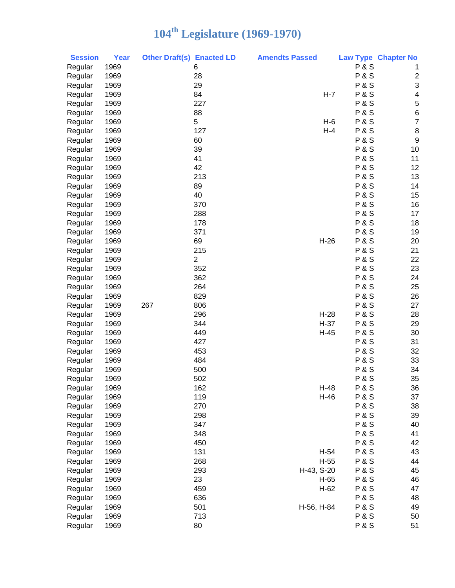| <b>Session</b> | <b>Year</b> | <b>Other Draft(s) Enacted LD</b> |                | <b>Amendts Passed</b> |                | <b>Law Type Chapter No</b> |
|----------------|-------------|----------------------------------|----------------|-----------------------|----------------|----------------------------|
| Regular        | 1969        |                                  | 6              |                       | <b>P&amp;S</b> | 1                          |
| Regular        | 1969        |                                  | 28             |                       | <b>P&amp;S</b> | $\overline{\mathbf{c}}$    |
| Regular        | 1969        |                                  | 29             |                       | <b>P&amp;S</b> | 3                          |
| Regular        | 1969        |                                  | 84             | $H - 7$               | <b>P&amp;S</b> | 4                          |
| Regular        | 1969        |                                  | 227            |                       | <b>P&amp;S</b> | 5                          |
| Regular        | 1969        |                                  | 88             |                       | <b>P&amp;S</b> | $\overline{6}$             |
| Regular        | 1969        |                                  | 5              | $H-6$                 | <b>P&amp;S</b> | $\overline{7}$             |
| Regular        | 1969        |                                  | 127            | $H-4$                 | <b>P&amp;S</b> | 8                          |
| Regular        | 1969        |                                  | 60             |                       | <b>P&amp;S</b> | 9                          |
| Regular        | 1969        |                                  | 39             |                       | <b>P&amp;S</b> | 10                         |
| Regular        | 1969        |                                  | 41             |                       | <b>P&amp;S</b> | 11                         |
| Regular        | 1969        |                                  | 42             |                       | <b>P&amp;S</b> | 12                         |
| Regular        | 1969        |                                  | 213            |                       | <b>P&amp;S</b> | 13                         |
| Regular        | 1969        |                                  | 89             |                       | <b>P&amp;S</b> | 14                         |
| Regular        | 1969        |                                  | 40             |                       | <b>P&amp;S</b> | 15                         |
| Regular        | 1969        |                                  | 370            |                       | <b>P&amp;S</b> | 16                         |
| Regular        | 1969        |                                  | 288            |                       | <b>P&amp;S</b> | 17                         |
| Regular        | 1969        |                                  | 178            |                       | <b>P&amp;S</b> | 18                         |
| Regular        | 1969        |                                  | 371            |                       | <b>P&amp;S</b> | 19                         |
| Regular        | 1969        |                                  | 69             | $H-26$                | <b>P&amp;S</b> | 20                         |
| Regular        | 1969        |                                  | 215            |                       | <b>P&amp;S</b> | 21                         |
| Regular        | 1969        |                                  | $\overline{2}$ |                       | <b>P&amp;S</b> | 22                         |
| Regular        | 1969        |                                  | 352            |                       | <b>P&amp;S</b> | 23                         |
| Regular        | 1969        |                                  | 362            |                       | <b>P&amp;S</b> | 24                         |
| Regular        | 1969        |                                  | 264            |                       | <b>P&amp;S</b> | 25                         |
| Regular        | 1969        |                                  | 829            |                       | <b>P&amp;S</b> | 26                         |
| Regular        | 1969        | 267                              | 806            |                       | <b>P&amp;S</b> | 27                         |
| Regular        | 1969        |                                  | 296            | $H-28$                | <b>P&amp;S</b> | 28                         |
| Regular        | 1969        |                                  | 344            | $H-37$                | <b>P&amp;S</b> | 29                         |
| Regular        | 1969        |                                  | 449            | $H-45$                | <b>P&amp;S</b> | 30                         |
| Regular        | 1969        |                                  | 427            |                       | <b>P&amp;S</b> | 31                         |
| Regular        | 1969        |                                  | 453            |                       | <b>P&amp;S</b> | 32                         |
| Regular        | 1969        |                                  | 484            |                       | <b>P&amp;S</b> | 33                         |
| Regular        | 1969        |                                  | 500            |                       | <b>P&amp;S</b> | 34                         |
| Regular        | 1969        |                                  | 502            |                       | <b>P&amp;S</b> | 35                         |
| Regular        | 1969        |                                  | 162            | $H-48$                | <b>P&amp;S</b> | 36                         |
| Regular        | 1969        |                                  | 119            | $H-46$                | <b>P&amp;S</b> | 37                         |
| Regular        | 1969        |                                  | 270            |                       | <b>P&amp;S</b> | 38                         |
| Regular        | 1969        |                                  | 298            |                       | <b>P&amp;S</b> | 39                         |
| Regular        | 1969        |                                  | 347            |                       | <b>P&amp;S</b> | 40                         |
| Regular        | 1969        |                                  | 348            |                       | <b>P&amp;S</b> | 41                         |
| Regular        | 1969        |                                  | 450            |                       | <b>P&amp;S</b> | 42                         |
| Regular        | 1969        |                                  | 131            | $H-54$                | <b>P&amp;S</b> | 43                         |
| Regular        | 1969        |                                  | 268            | $H-55$                | <b>P&amp;S</b> | 44                         |
| Regular        | 1969        |                                  | 293            | H-43, S-20            | <b>P&amp;S</b> | 45                         |
| Regular        | 1969        |                                  | 23             | $H-65$                | <b>P&amp;S</b> | 46                         |
| Regular        | 1969        |                                  | 459            | $H-62$                | <b>P&amp;S</b> | 47                         |
| Regular        | 1969        |                                  | 636            |                       | <b>P&amp;S</b> | 48                         |
| Regular        | 1969        |                                  | 501            | H-56, H-84            | <b>P&amp;S</b> | 49                         |
| Regular        | 1969        |                                  | 713            |                       | <b>P&amp;S</b> | 50                         |
| Regular        | 1969        |                                  | 80             |                       | <b>P&amp;S</b> | 51                         |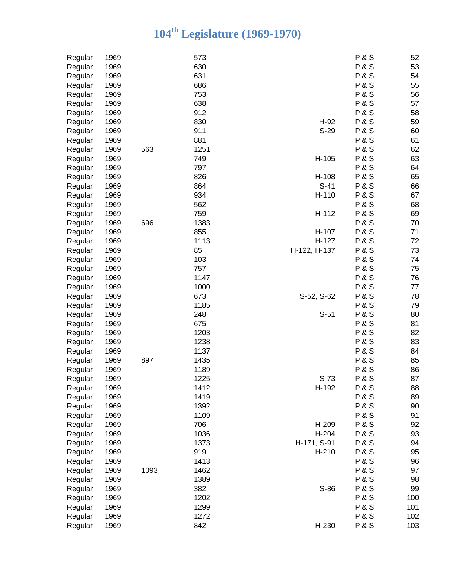| Regular | 1969 |      | 573  |              | <b>P&amp;S</b> | 52  |
|---------|------|------|------|--------------|----------------|-----|
| Regular | 1969 |      | 630  |              | <b>P&amp;S</b> | 53  |
| Regular | 1969 |      | 631  |              | <b>P&amp;S</b> | 54  |
| Regular | 1969 |      | 686  |              | <b>P&amp;S</b> | 55  |
| Regular | 1969 |      | 753  |              | <b>P&amp;S</b> | 56  |
| Regular | 1969 |      | 638  |              | <b>P&amp;S</b> | 57  |
| Regular | 1969 |      | 912  |              | <b>P&amp;S</b> | 58  |
| Regular | 1969 |      | 830  | $H-92$       | <b>P&amp;S</b> | 59  |
| Regular | 1969 |      | 911  | $S-29$       | <b>P&amp;S</b> | 60  |
| Regular | 1969 |      | 881  |              | <b>P&amp;S</b> | 61  |
| Regular | 1969 | 563  | 1251 |              | <b>P&amp;S</b> | 62  |
| Regular | 1969 |      | 749  | H-105        | <b>P&amp;S</b> | 63  |
| Regular | 1969 |      | 797  |              | <b>P&amp;S</b> | 64  |
| Regular | 1969 |      | 826  | H-108        | <b>P&amp;S</b> | 65  |
| Regular | 1969 |      | 864  | $S-41$       | <b>P&amp;S</b> | 66  |
| Regular | 1969 |      | 934  | H-110        | <b>P&amp;S</b> | 67  |
| Regular | 1969 |      | 562  |              | <b>P&amp;S</b> | 68  |
| Regular | 1969 |      | 759  | H-112        | <b>P&amp;S</b> | 69  |
| Regular | 1969 | 696  | 1383 |              | <b>P&amp;S</b> | 70  |
| Regular | 1969 |      | 855  | H-107        | <b>P&amp;S</b> | 71  |
| Regular | 1969 |      | 1113 | H-127        | <b>P&amp;S</b> | 72  |
| Regular | 1969 |      | 85   | H-122, H-137 | <b>P&amp;S</b> | 73  |
| Regular | 1969 |      | 103  |              | <b>P&amp;S</b> | 74  |
| Regular | 1969 |      | 757  |              | <b>P&amp;S</b> | 75  |
| Regular | 1969 |      | 1147 |              | <b>P&amp;S</b> | 76  |
| Regular | 1969 |      | 1000 |              | <b>P&amp;S</b> | 77  |
| Regular | 1969 |      | 673  | S-52, S-62   | <b>P&amp;S</b> | 78  |
| Regular | 1969 |      | 1185 |              | <b>P&amp;S</b> | 79  |
| Regular | 1969 |      | 248  | $S-51$       | <b>P&amp;S</b> | 80  |
| Regular | 1969 |      | 675  |              | <b>P&amp;S</b> | 81  |
| Regular | 1969 |      | 1203 |              | <b>P&amp;S</b> | 82  |
| Regular | 1969 |      | 1238 |              | <b>P&amp;S</b> | 83  |
| Regular | 1969 |      | 1137 |              | <b>P&amp;S</b> | 84  |
| Regular | 1969 | 897  | 1435 |              | <b>P&amp;S</b> | 85  |
| Regular | 1969 |      | 1189 |              | <b>P&amp;S</b> | 86  |
| Regular | 1969 |      | 1225 | $S-73$       | <b>P&amp;S</b> | 87  |
| Regular | 1969 |      | 1412 | H-192        | <b>P&amp;S</b> | 88  |
| Regular | 1969 |      | 1419 |              | <b>P&amp;S</b> | 89  |
| Regular | 1969 |      | 1392 |              | <b>P&amp;S</b> | 90  |
| Regular | 1969 |      | 1109 |              | <b>P&amp;S</b> | 91  |
| Regular | 1969 |      | 706  | H-209        | <b>P&amp;S</b> | 92  |
| Regular | 1969 |      | 1036 | H-204        | <b>P&amp;S</b> | 93  |
| Regular | 1969 |      | 1373 | H-171, S-91  | <b>P&amp;S</b> | 94  |
| Regular | 1969 |      | 919  | $H-210$      | <b>P&amp;S</b> | 95  |
| Regular | 1969 |      | 1413 |              | <b>P&amp;S</b> | 96  |
| Regular | 1969 | 1093 | 1462 |              | <b>P&amp;S</b> | 97  |
| Regular | 1969 |      | 1389 |              | <b>P&amp;S</b> | 98  |
| Regular | 1969 |      | 382  | S-86         | <b>P&amp;S</b> | 99  |
| Regular | 1969 |      | 1202 |              | <b>P&amp;S</b> | 100 |
| Regular | 1969 |      | 1299 |              | <b>P&amp;S</b> | 101 |
| Regular | 1969 |      | 1272 |              | <b>P&amp;S</b> | 102 |
| Regular | 1969 |      | 842  | H-230        | <b>P&amp;S</b> | 103 |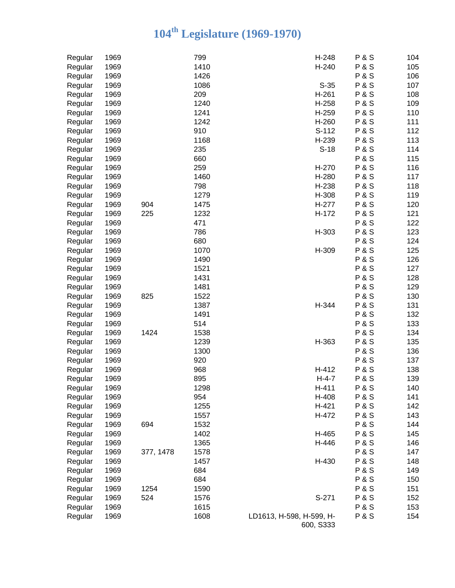| Regular | 1969 |           | 799  | H-248                                 | <b>P&amp;S</b> | 104 |
|---------|------|-----------|------|---------------------------------------|----------------|-----|
| Regular | 1969 |           | 1410 | H-240                                 | <b>P&amp;S</b> | 105 |
| Regular | 1969 |           | 1426 |                                       | <b>P&amp;S</b> | 106 |
| Regular | 1969 |           | 1086 | $S-35$                                | <b>P&amp;S</b> | 107 |
| Regular | 1969 |           | 209  | $H-261$                               | <b>P&amp;S</b> | 108 |
| Regular | 1969 |           | 1240 | H-258                                 | <b>P&amp;S</b> | 109 |
| Regular | 1969 |           | 1241 | H-259                                 | <b>P&amp;S</b> | 110 |
| Regular | 1969 |           | 1242 | H-260                                 | <b>P&amp;S</b> | 111 |
| Regular | 1969 |           | 910  | S-112                                 | <b>P&amp;S</b> | 112 |
| Regular | 1969 |           | 1168 | H-239                                 | <b>P&amp;S</b> | 113 |
| Regular | 1969 |           | 235  | $S-18$                                | <b>P&amp;S</b> | 114 |
| Regular | 1969 |           | 660  |                                       | <b>P&amp;S</b> | 115 |
| Regular | 1969 |           | 259  | H-270                                 | <b>P&amp;S</b> | 116 |
| Regular | 1969 |           | 1460 | H-280                                 | <b>P&amp;S</b> | 117 |
| Regular | 1969 |           | 798  | H-238                                 | <b>P&amp;S</b> | 118 |
| Regular | 1969 |           | 1279 | H-308                                 | <b>P&amp;S</b> | 119 |
| Regular | 1969 | 904       | 1475 | H-277                                 | <b>P&amp;S</b> | 120 |
| Regular | 1969 | 225       | 1232 | H-172                                 | <b>P&amp;S</b> | 121 |
| Regular | 1969 |           | 471  |                                       | <b>P&amp;S</b> | 122 |
|         | 1969 |           | 786  | H-303                                 | <b>P&amp;S</b> | 123 |
| Regular | 1969 |           | 680  |                                       | <b>P&amp;S</b> | 124 |
| Regular |      |           | 1070 |                                       | <b>P&amp;S</b> |     |
| Regular | 1969 |           |      | H-309                                 | <b>P&amp;S</b> | 125 |
| Regular | 1969 |           | 1490 |                                       |                | 126 |
| Regular | 1969 |           | 1521 |                                       | <b>P&amp;S</b> | 127 |
| Regular | 1969 |           | 1431 |                                       | <b>P&amp;S</b> | 128 |
| Regular | 1969 |           | 1481 |                                       | <b>P&amp;S</b> | 129 |
| Regular | 1969 | 825       | 1522 |                                       | <b>P&amp;S</b> | 130 |
| Regular | 1969 |           | 1387 | H-344                                 | <b>P&amp;S</b> | 131 |
| Regular | 1969 |           | 1491 |                                       | <b>P&amp;S</b> | 132 |
| Regular | 1969 |           | 514  |                                       | <b>P&amp;S</b> | 133 |
| Regular | 1969 | 1424      | 1538 |                                       | <b>P&amp;S</b> | 134 |
| Regular | 1969 |           | 1239 | H-363                                 | <b>P&amp;S</b> | 135 |
| Regular | 1969 |           | 1300 |                                       | <b>P&amp;S</b> | 136 |
| Regular | 1969 |           | 920  |                                       | <b>P&amp;S</b> | 137 |
| Regular | 1969 |           | 968  | H-412                                 | <b>P&amp;S</b> | 138 |
| Regular | 1969 |           | 895  | $H-4-7$                               | <b>P&amp;S</b> | 139 |
| Regular | 1969 |           | 1298 | $H-411$                               | <b>P&amp;S</b> | 140 |
| Regular | 1969 |           | 954  | H-408                                 | <b>P&amp;S</b> | 141 |
| Regular | 1969 |           | 1255 | $H-421$                               | <b>P&amp;S</b> | 142 |
| Regular | 1969 |           | 1557 | H-472                                 | <b>P&amp;S</b> | 143 |
| Regular | 1969 | 694       | 1532 |                                       | <b>P&amp;S</b> | 144 |
| Regular | 1969 |           | 1402 | H-465                                 | <b>P&amp;S</b> | 145 |
| Regular | 1969 |           | 1365 | H-446                                 | <b>P&amp;S</b> | 146 |
| Regular | 1969 | 377, 1478 | 1578 |                                       | <b>P&amp;S</b> | 147 |
| Regular | 1969 |           | 1457 | H-430                                 | <b>P&amp;S</b> | 148 |
| Regular | 1969 |           | 684  |                                       | <b>P&amp;S</b> | 149 |
| Regular | 1969 |           | 684  |                                       | <b>P&amp;S</b> | 150 |
| Regular | 1969 | 1254      | 1590 |                                       | <b>P&amp;S</b> | 151 |
| Regular | 1969 | 524       | 1576 | $S-271$                               | <b>P&amp;S</b> | 152 |
| Regular | 1969 |           | 1615 |                                       | <b>P&amp;S</b> | 153 |
| Regular | 1969 |           | 1608 | LD1613, H-598, H-599, H-<br>600, S333 | <b>P&amp;S</b> | 154 |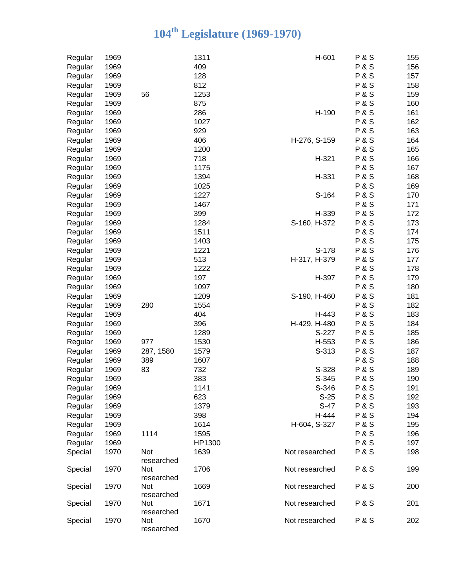| Regular | 1969 |            | 1311   | H-601          | <b>P&amp;S</b> | 155 |
|---------|------|------------|--------|----------------|----------------|-----|
| Regular | 1969 |            | 409    |                | <b>P&amp;S</b> | 156 |
| Regular | 1969 |            | 128    |                | <b>P&amp;S</b> | 157 |
| Regular | 1969 |            | 812    |                | <b>P&amp;S</b> | 158 |
| Regular | 1969 | 56         | 1253   |                | <b>P&amp;S</b> | 159 |
| Regular | 1969 |            | 875    |                | <b>P&amp;S</b> | 160 |
| Regular | 1969 |            | 286    | H-190          | <b>P&amp;S</b> | 161 |
| Regular | 1969 |            | 1027   |                | <b>P&amp;S</b> | 162 |
| Regular | 1969 |            | 929    |                | <b>P&amp;S</b> | 163 |
|         | 1969 |            | 406    | H-276, S-159   | <b>P&amp;S</b> | 164 |
| Regular |      |            | 1200   |                |                |     |
| Regular | 1969 |            |        |                | <b>P&amp;S</b> | 165 |
| Regular | 1969 |            | 718    | $H-321$        | <b>P&amp;S</b> | 166 |
| Regular | 1969 |            | 1175   |                | <b>P&amp;S</b> | 167 |
| Regular | 1969 |            | 1394   | H-331          | <b>P&amp;S</b> | 168 |
| Regular | 1969 |            | 1025   |                | <b>P&amp;S</b> | 169 |
| Regular | 1969 |            | 1227   | S-164          | <b>P&amp;S</b> | 170 |
| Regular | 1969 |            | 1467   |                | <b>P&amp;S</b> | 171 |
| Regular | 1969 |            | 399    | H-339          | <b>P&amp;S</b> | 172 |
| Regular | 1969 |            | 1284   | S-160, H-372   | <b>P&amp;S</b> | 173 |
| Regular | 1969 |            | 1511   |                | <b>P&amp;S</b> | 174 |
| Regular | 1969 |            | 1403   |                | <b>P&amp;S</b> | 175 |
| Regular | 1969 |            | 1221   | S-178          | <b>P&amp;S</b> | 176 |
| Regular | 1969 |            | 513    | H-317, H-379   | <b>P&amp;S</b> | 177 |
| Regular | 1969 |            | 1222   |                | <b>P&amp;S</b> | 178 |
| Regular | 1969 |            | 197    | H-397          | <b>P&amp;S</b> | 179 |
| Regular | 1969 |            | 1097   |                | <b>P&amp;S</b> | 180 |
| Regular | 1969 |            | 1209   | S-190, H-460   | <b>P&amp;S</b> | 181 |
|         | 1969 | 280        | 1554   |                | <b>P&amp;S</b> | 182 |
| Regular | 1969 |            | 404    | H-443          | <b>P&amp;S</b> | 183 |
| Regular |      |            |        |                |                |     |
| Regular | 1969 |            | 396    | H-429, H-480   | <b>P&amp;S</b> | 184 |
| Regular | 1969 |            | 1289   | S-227          | <b>P&amp;S</b> | 185 |
| Regular | 1969 | 977        | 1530   | H-553          | <b>P&amp;S</b> | 186 |
| Regular | 1969 | 287, 1580  | 1579   | S-313          | <b>P&amp;S</b> | 187 |
| Regular | 1969 | 389        | 1607   |                | <b>P&amp;S</b> | 188 |
| Regular | 1969 | 83         | 732    | S-328          | <b>P&amp;S</b> | 189 |
| Regular | 1969 |            | 383    | S-345          | <b>P&amp;S</b> | 190 |
| Regular | 1969 |            | 1141   | S-346          | <b>P&amp;S</b> | 191 |
| Regular | 1969 |            | 623    | $S-25$         | <b>P&amp;S</b> | 192 |
| Regular | 1969 |            | 1379   | $S-47$         | P&S            | 193 |
| Regular | 1969 |            | 398    | H-444          | <b>P&amp;S</b> | 194 |
| Regular | 1969 |            | 1614   | H-604, S-327   | <b>P&amp;S</b> | 195 |
| Regular | 1969 | 1114       | 1595   |                | <b>P&amp;S</b> | 196 |
| Regular | 1969 |            | HP1300 |                | <b>P&amp;S</b> | 197 |
| Special | 1970 | Not        | 1639   | Not researched | <b>P&amp;S</b> | 198 |
|         |      | researched |        |                |                |     |
| Special | 1970 | Not        | 1706   | Not researched | <b>P&amp;S</b> | 199 |
|         |      | researched |        |                |                |     |
| Special | 1970 | Not        | 1669   | Not researched | <b>P&amp;S</b> | 200 |
|         |      | researched |        |                |                |     |
| Special | 1970 | Not        | 1671   | Not researched | <b>P&amp;S</b> | 201 |
|         |      | researched |        |                |                |     |
| Special | 1970 | Not        | 1670   | Not researched | <b>P&amp;S</b> | 202 |
|         |      | researched |        |                |                |     |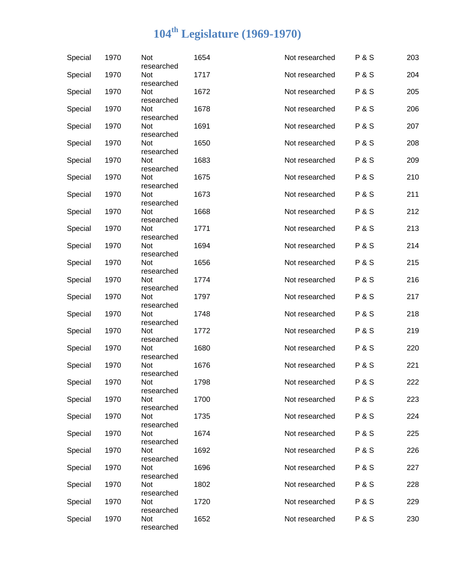| Special | 1970 | Not<br>researched | 1654 | Not researched | <b>P&amp;S</b> | 203 |
|---------|------|-------------------|------|----------------|----------------|-----|
| Special | 1970 | Not<br>researched | 1717 | Not researched | <b>P&amp;S</b> | 204 |
| Special | 1970 | Not<br>researched | 1672 | Not researched | <b>P&amp;S</b> | 205 |
| Special | 1970 | Not<br>researched | 1678 | Not researched | <b>P&amp;S</b> | 206 |
| Special | 1970 | Not<br>researched | 1691 | Not researched | <b>P&amp;S</b> | 207 |
| Special | 1970 | Not<br>researched | 1650 | Not researched | <b>P&amp;S</b> | 208 |
| Special | 1970 | Not<br>researched | 1683 | Not researched | <b>P&amp;S</b> | 209 |
| Special | 1970 | Not<br>researched | 1675 | Not researched | <b>P&amp;S</b> | 210 |
| Special | 1970 | Not<br>researched | 1673 | Not researched | <b>P&amp;S</b> | 211 |
| Special | 1970 | Not<br>researched | 1668 | Not researched | <b>P&amp;S</b> | 212 |
| Special | 1970 | Not<br>researched | 1771 | Not researched | <b>P&amp;S</b> | 213 |
| Special | 1970 | Not<br>researched | 1694 | Not researched | <b>P&amp;S</b> | 214 |
| Special | 1970 | Not<br>researched | 1656 | Not researched | <b>P&amp;S</b> | 215 |
| Special | 1970 | Not<br>researched | 1774 | Not researched | <b>P&amp;S</b> | 216 |
| Special | 1970 | Not<br>researched | 1797 | Not researched | <b>P&amp;S</b> | 217 |
| Special | 1970 | Not<br>researched | 1748 | Not researched | <b>P&amp;S</b> | 218 |
| Special | 1970 | Not<br>researched | 1772 | Not researched | <b>P&amp;S</b> | 219 |
| Special | 1970 | Not<br>researched | 1680 | Not researched | <b>P&amp;S</b> | 220 |
| Special | 1970 | Not<br>researched | 1676 | Not researched | <b>P&amp;S</b> | 221 |
| Special | 1970 | Not<br>researched | 1798 | Not researched | <b>P&amp;S</b> | 222 |
| Special | 1970 | Not<br>researched | 1700 | Not researched | <b>P&amp;S</b> | 223 |
| Special | 1970 | Not<br>researched | 1735 | Not researched | <b>P&amp;S</b> | 224 |
| Special | 1970 | Not<br>researched | 1674 | Not researched | <b>P&amp;S</b> | 225 |
| Special | 1970 | Not<br>researched | 1692 | Not researched | <b>P&amp;S</b> | 226 |
| Special | 1970 | Not<br>researched | 1696 | Not researched | <b>P&amp;S</b> | 227 |
| Special | 1970 | Not<br>researched | 1802 | Not researched | <b>P&amp;S</b> | 228 |
| Special | 1970 | Not<br>researched | 1720 | Not researched | <b>P&amp;S</b> | 229 |
| Special | 1970 | Not<br>researched | 1652 | Not researched | <b>P&amp;S</b> | 230 |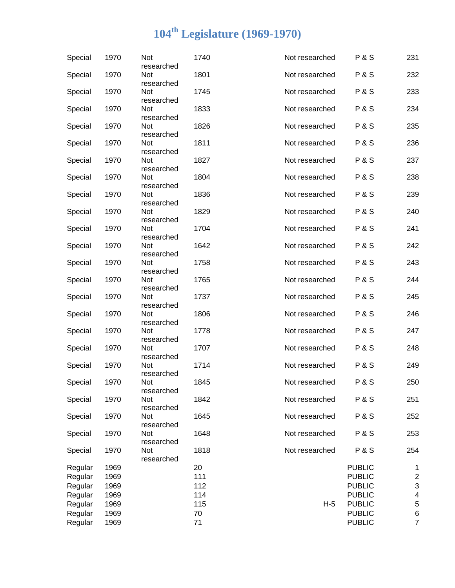| Special | 1970 | Not<br>researched               | 1740 | Not researched | <b>P&amp;S</b> | 231                     |
|---------|------|---------------------------------|------|----------------|----------------|-------------------------|
| Special | 1970 | Not<br>researched               | 1801 | Not researched | <b>P&amp;S</b> | 232                     |
| Special | 1970 | Not<br>researched               | 1745 | Not researched | <b>P&amp;S</b> | 233                     |
| Special | 1970 | Not<br>researched               | 1833 | Not researched | <b>P&amp;S</b> | 234                     |
| Special | 1970 | Not                             | 1826 | Not researched | <b>P&amp;S</b> | 235                     |
| Special | 1970 | researched<br>Not               | 1811 | Not researched | <b>P&amp;S</b> | 236                     |
| Special | 1970 | researched<br>Not               | 1827 | Not researched | <b>P&amp;S</b> | 237                     |
| Special | 1970 | researched<br>Not               | 1804 | Not researched | <b>P&amp;S</b> | 238                     |
| Special | 1970 | researched<br>Not               | 1836 | Not researched | <b>P&amp;S</b> | 239                     |
| Special | 1970 | researched<br>Not               | 1829 | Not researched | <b>P&amp;S</b> | 240                     |
| Special | 1970 | researched<br>Not               | 1704 | Not researched | <b>P&amp;S</b> | 241                     |
| Special | 1970 | researched<br>Not               | 1642 | Not researched | <b>P&amp;S</b> | 242                     |
| Special | 1970 | researched<br>Not               | 1758 | Not researched | <b>P&amp;S</b> | 243                     |
| Special | 1970 | researched<br>Not               | 1765 | Not researched | <b>P&amp;S</b> | 244                     |
| Special | 1970 | researched<br>Not               | 1737 | Not researched | <b>P&amp;S</b> | 245                     |
| Special | 1970 | researched<br>Not               | 1806 | Not researched | <b>P&amp;S</b> | 246                     |
| Special | 1970 | researched<br>Not               | 1778 | Not researched | <b>P&amp;S</b> | 247                     |
| Special | 1970 | researched<br>Not               | 1707 | Not researched | <b>P&amp;S</b> | 248                     |
| Special | 1970 | researched<br>Not               | 1714 | Not researched | <b>P&amp;S</b> | 249                     |
| Special | 1970 | researched<br>Not               | 1845 | Not researched | <b>P&amp;S</b> | 250                     |
| Special | 1970 | researched<br>Not               | 1842 | Not researched | <b>P&amp;S</b> | 251                     |
| Special | 1970 | researched<br>Not               | 1645 | Not researched | P&S            | 252                     |
| Special | 1970 | researched<br>Not               | 1648 | Not researched | P&S            | 253                     |
| Special | 1970 | researched<br>Not<br>researched | 1818 | Not researched | P&S            | 254                     |
| Regular | 1969 |                                 | 20   |                | <b>PUBLIC</b>  | 1                       |
| Regular | 1969 |                                 | 111  |                | <b>PUBLIC</b>  | $\overline{\mathbf{c}}$ |
|         |      |                                 |      |                |                |                         |
| Regular | 1969 |                                 | 112  |                | <b>PUBLIC</b>  | 3                       |
| Regular | 1969 |                                 | 114  |                | <b>PUBLIC</b>  | 4                       |
| Regular | 1969 |                                 | 115  | $H-5$          | <b>PUBLIC</b>  | 5                       |
| Regular | 1969 |                                 | 70   |                | <b>PUBLIC</b>  | 6                       |
| Regular | 1969 |                                 | 71   |                | <b>PUBLIC</b>  | $\overline{7}$          |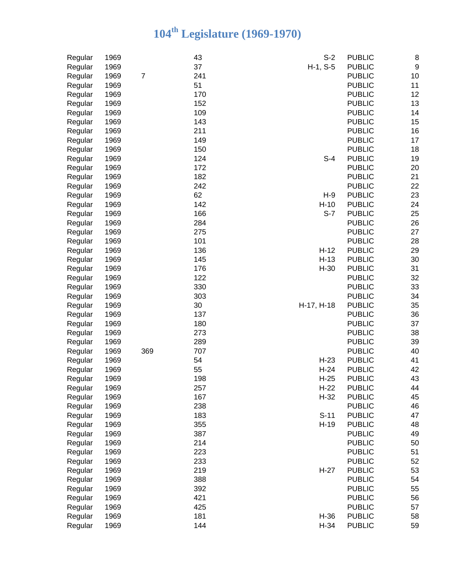| Regular | 1969 |                | 43  | $S-2$      | <b>PUBLIC</b> | 8                |
|---------|------|----------------|-----|------------|---------------|------------------|
| Regular | 1969 |                | 37  | $H-1, S-5$ | <b>PUBLIC</b> | $\boldsymbol{9}$ |
| Regular | 1969 | $\overline{7}$ | 241 |            | <b>PUBLIC</b> | 10               |
| Regular | 1969 |                | 51  |            | <b>PUBLIC</b> | 11               |
| Regular | 1969 |                | 170 |            | <b>PUBLIC</b> | 12               |
| Regular | 1969 |                | 152 |            | <b>PUBLIC</b> | 13               |
| Regular | 1969 |                | 109 |            | <b>PUBLIC</b> | 14               |
| Regular | 1969 |                | 143 |            | <b>PUBLIC</b> | 15               |
| Regular | 1969 |                | 211 |            | <b>PUBLIC</b> | 16               |
| Regular | 1969 |                | 149 |            | <b>PUBLIC</b> | 17               |
| Regular | 1969 |                | 150 |            | <b>PUBLIC</b> | 18               |
| Regular | 1969 |                | 124 | $S-4$      | <b>PUBLIC</b> | 19               |
| Regular | 1969 |                | 172 |            | <b>PUBLIC</b> | 20               |
| Regular | 1969 |                | 182 |            | <b>PUBLIC</b> | 21               |
| Regular | 1969 |                | 242 |            | <b>PUBLIC</b> | 22               |
| Regular | 1969 |                | 62  | $H-9$      | <b>PUBLIC</b> | 23               |
| Regular | 1969 |                | 142 | $H-10$     | <b>PUBLIC</b> | 24               |
| Regular | 1969 |                | 166 | $S-7$      | <b>PUBLIC</b> | 25               |
| Regular | 1969 |                | 284 |            | <b>PUBLIC</b> | 26               |
| Regular | 1969 |                | 275 |            | <b>PUBLIC</b> | 27               |
| Regular | 1969 |                | 101 |            | <b>PUBLIC</b> | 28               |
| Regular | 1969 |                | 136 | $H-12$     | <b>PUBLIC</b> | 29               |
| Regular | 1969 |                | 145 | $H-13$     | <b>PUBLIC</b> | 30               |
| Regular | 1969 |                | 176 | $H-30$     | <b>PUBLIC</b> | 31               |
| Regular | 1969 |                | 122 |            | <b>PUBLIC</b> | 32               |
| Regular | 1969 |                | 330 |            | <b>PUBLIC</b> | 33               |
| Regular | 1969 |                | 303 |            | <b>PUBLIC</b> | 34               |
| Regular | 1969 |                | 30  | H-17, H-18 | <b>PUBLIC</b> | 35               |
| Regular | 1969 |                | 137 |            | <b>PUBLIC</b> | 36               |
| Regular | 1969 |                | 180 |            | <b>PUBLIC</b> | 37               |
| Regular | 1969 |                | 273 |            | <b>PUBLIC</b> | 38               |
| Regular | 1969 |                | 289 |            | <b>PUBLIC</b> | 39               |
| Regular | 1969 | 369            | 707 |            | <b>PUBLIC</b> | 40               |
| Regular | 1969 |                | 54  | $H-23$     | <b>PUBLIC</b> | 41               |
| Regular | 1969 |                | 55  | $H-24$     | <b>PUBLIC</b> | 42               |
| Regular | 1969 |                | 198 | $H-25$     | <b>PUBLIC</b> | 43               |
| Regular | 1969 |                | 257 | $H-22$     | <b>PUBLIC</b> | 44               |
| Regular | 1969 |                | 167 | $H-32$     | <b>PUBLIC</b> | 45               |
| Regular | 1969 |                | 238 |            | <b>PUBLIC</b> | 46               |
| Regular | 1969 |                | 183 | $S-11$     | <b>PUBLIC</b> | 47               |
| Regular | 1969 |                | 355 | $H-19$     | <b>PUBLIC</b> | 48               |
| Regular | 1969 |                | 387 |            | <b>PUBLIC</b> | 49               |
| Regular | 1969 |                | 214 |            | <b>PUBLIC</b> | 50               |
| Regular | 1969 |                | 223 |            | <b>PUBLIC</b> | 51               |
| Regular | 1969 |                | 233 |            | <b>PUBLIC</b> | 52               |
| Regular | 1969 |                | 219 | $H-27$     | <b>PUBLIC</b> | 53               |
| Regular | 1969 |                | 388 |            | <b>PUBLIC</b> | 54               |
| Regular | 1969 |                | 392 |            | <b>PUBLIC</b> | 55               |
| Regular | 1969 |                | 421 |            | <b>PUBLIC</b> | 56               |
| Regular | 1969 |                | 425 |            | <b>PUBLIC</b> | 57               |
| Regular | 1969 |                | 181 | $H-36$     | <b>PUBLIC</b> | 58               |
| Regular | 1969 |                | 144 | $H-34$     | <b>PUBLIC</b> | 59               |
|         |      |                |     |            |               |                  |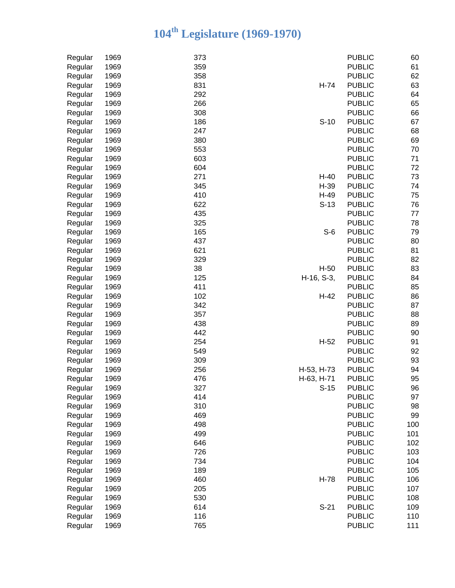| Regular | 1969 | 373               | <b>PUBLIC</b> | 60  |
|---------|------|-------------------|---------------|-----|
| Regular | 1969 | 359               | <b>PUBLIC</b> | 61  |
| Regular | 1969 | 358               | <b>PUBLIC</b> | 62  |
| Regular | 1969 | 831<br>$H-74$     | <b>PUBLIC</b> | 63  |
| Regular | 1969 | 292               | <b>PUBLIC</b> | 64  |
| Regular | 1969 | 266               | <b>PUBLIC</b> | 65  |
| Regular | 1969 | 308               | <b>PUBLIC</b> | 66  |
| Regular | 1969 | 186<br>$S-10$     | <b>PUBLIC</b> | 67  |
| Regular | 1969 | 247               | <b>PUBLIC</b> | 68  |
| Regular | 1969 | 380               | <b>PUBLIC</b> | 69  |
| Regular | 1969 | 553               | <b>PUBLIC</b> | 70  |
| Regular | 1969 | 603               | <b>PUBLIC</b> | 71  |
| Regular | 1969 | 604               | <b>PUBLIC</b> | 72  |
|         | 1969 | 271<br>$H-40$     | <b>PUBLIC</b> | 73  |
| Regular |      |                   |               |     |
| Regular | 1969 | 345<br>H-39       | <b>PUBLIC</b> | 74  |
| Regular | 1969 | 410<br>$H-49$     | <b>PUBLIC</b> | 75  |
| Regular | 1969 | 622<br>$S-13$     | <b>PUBLIC</b> | 76  |
| Regular | 1969 | 435               | <b>PUBLIC</b> | 77  |
| Regular | 1969 | 325               | <b>PUBLIC</b> | 78  |
| Regular | 1969 | 165<br>$S-6$      | <b>PUBLIC</b> | 79  |
| Regular | 1969 | 437               | <b>PUBLIC</b> | 80  |
| Regular | 1969 | 621               | <b>PUBLIC</b> | 81  |
| Regular | 1969 | 329               | <b>PUBLIC</b> | 82  |
| Regular | 1969 | 38<br>$H-50$      | <b>PUBLIC</b> | 83  |
| Regular | 1969 | 125<br>H-16, S-3, | <b>PUBLIC</b> | 84  |
| Regular | 1969 | 411               | <b>PUBLIC</b> | 85  |
| Regular | 1969 | 102<br>$H-42$     | <b>PUBLIC</b> | 86  |
| Regular | 1969 | 342               | <b>PUBLIC</b> | 87  |
| Regular | 1969 | 357               | <b>PUBLIC</b> | 88  |
| Regular | 1969 | 438               | <b>PUBLIC</b> | 89  |
| Regular | 1969 | 442               | <b>PUBLIC</b> | 90  |
| Regular | 1969 | 254<br>$H-52$     | <b>PUBLIC</b> | 91  |
| Regular | 1969 | 549               | <b>PUBLIC</b> | 92  |
| Regular | 1969 | 309               | <b>PUBLIC</b> | 93  |
| Regular | 1969 | 256<br>H-53, H-73 | <b>PUBLIC</b> | 94  |
| Regular | 1969 | 476<br>H-63, H-71 | <b>PUBLIC</b> | 95  |
| Regular | 1969 | 327<br>$S-15$     | <b>PUBLIC</b> | 96  |
| Regular | 1969 | 414               | <b>PUBLIC</b> | 97  |
| Regular | 1969 | 310               | <b>PUBLIC</b> | 98  |
| Regular | 1969 | 469               | <b>PUBLIC</b> | 99  |
| Regular | 1969 | 498               | <b>PUBLIC</b> | 100 |
| Regular | 1969 | 499               | <b>PUBLIC</b> | 101 |
| Regular | 1969 | 646               | <b>PUBLIC</b> | 102 |
| Regular | 1969 | 726               | <b>PUBLIC</b> | 103 |
| Regular | 1969 | 734               | <b>PUBLIC</b> | 104 |
| Regular | 1969 | 189               | <b>PUBLIC</b> | 105 |
| Regular | 1969 | 460<br>H-78       | <b>PUBLIC</b> | 106 |
| Regular | 1969 | 205               | <b>PUBLIC</b> | 107 |
| Regular | 1969 | 530               | <b>PUBLIC</b> | 108 |
| Regular | 1969 | 614<br>$S-21$     | <b>PUBLIC</b> | 109 |
| Regular | 1969 | 116               | <b>PUBLIC</b> | 110 |
| Regular | 1969 | 765               | <b>PUBLIC</b> | 111 |
|         |      |                   |               |     |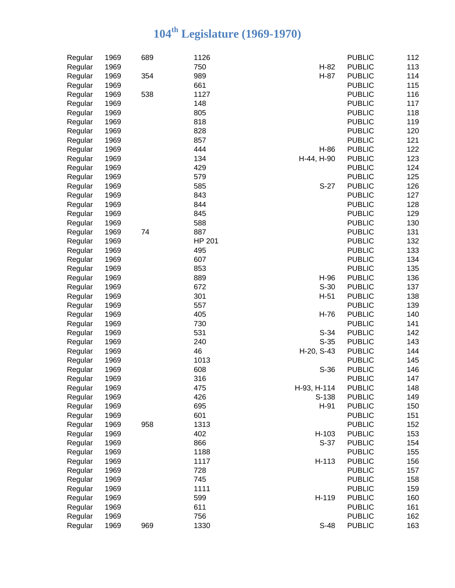| Regular | 1969 | 689 | 1126          |             | <b>PUBLIC</b> | 112 |
|---------|------|-----|---------------|-------------|---------------|-----|
| Regular | 1969 |     | 750           | $H-82$      | <b>PUBLIC</b> | 113 |
| Regular | 1969 | 354 | 989           | H-87        | <b>PUBLIC</b> | 114 |
| Regular | 1969 |     | 661           |             | <b>PUBLIC</b> | 115 |
| Regular | 1969 | 538 | 1127          |             | <b>PUBLIC</b> | 116 |
| Regular | 1969 |     | 148           |             | <b>PUBLIC</b> | 117 |
| Regular | 1969 |     | 805           |             | <b>PUBLIC</b> | 118 |
| Regular | 1969 |     | 818           |             | <b>PUBLIC</b> | 119 |
| Regular | 1969 |     | 828           |             | <b>PUBLIC</b> | 120 |
| Regular | 1969 |     | 857           |             | <b>PUBLIC</b> | 121 |
| Regular | 1969 |     | 444           | H-86        | <b>PUBLIC</b> | 122 |
| Regular | 1969 |     | 134           | H-44, H-90  | <b>PUBLIC</b> | 123 |
| Regular | 1969 |     | 429           |             | <b>PUBLIC</b> | 124 |
| Regular | 1969 |     | 579           |             | <b>PUBLIC</b> | 125 |
| Regular | 1969 |     | 585           | $S-27$      | <b>PUBLIC</b> | 126 |
| Regular | 1969 |     | 843           |             | <b>PUBLIC</b> | 127 |
| Regular | 1969 |     | 844           |             | <b>PUBLIC</b> | 128 |
| Regular | 1969 |     | 845           |             | <b>PUBLIC</b> | 129 |
| Regular | 1969 |     | 588           |             | <b>PUBLIC</b> | 130 |
| Regular | 1969 | 74  | 887           |             | <b>PUBLIC</b> | 131 |
| Regular | 1969 |     | <b>HP 201</b> |             | <b>PUBLIC</b> | 132 |
| Regular | 1969 |     | 495           |             | <b>PUBLIC</b> | 133 |
| Regular | 1969 |     | 607           |             | <b>PUBLIC</b> | 134 |
| Regular | 1969 |     | 853           |             | <b>PUBLIC</b> | 135 |
| Regular | 1969 |     | 889           | H-96        | <b>PUBLIC</b> | 136 |
| Regular | 1969 |     | 672           | $S-30$      | <b>PUBLIC</b> | 137 |
| Regular | 1969 |     | 301           | $H-51$      | <b>PUBLIC</b> | 138 |
| Regular | 1969 |     | 557           |             | <b>PUBLIC</b> | 139 |
| Regular | 1969 |     | 405           | $H-76$      | <b>PUBLIC</b> | 140 |
| Regular | 1969 |     | 730           |             | <b>PUBLIC</b> | 141 |
| Regular | 1969 |     | 531           | $S-34$      | <b>PUBLIC</b> | 142 |
| Regular | 1969 |     | 240           | $S-35$      | <b>PUBLIC</b> | 143 |
| Regular | 1969 |     | 46            | H-20, S-43  | <b>PUBLIC</b> | 144 |
| Regular | 1969 |     | 1013          |             | <b>PUBLIC</b> | 145 |
| Regular | 1969 |     | 608           | $S-36$      | <b>PUBLIC</b> | 146 |
| Regular | 1969 |     | 316           |             | <b>PUBLIC</b> | 147 |
| Regular | 1969 |     | 475           | H-93, H-114 | <b>PUBLIC</b> | 148 |
| Regular | 1969 |     | 426           | S-138       | <b>PUBLIC</b> | 149 |
| Regular | 1969 |     | 695           | H-91        | <b>PUBLIC</b> | 150 |
| Regular | 1969 |     | 601           |             | <b>PUBLIC</b> | 151 |
|         | 1969 | 958 | 1313          |             | <b>PUBLIC</b> | 152 |
| Regular | 1969 |     | 402           | H-103       | <b>PUBLIC</b> | 153 |
| Regular |      |     |               |             |               |     |
| Regular | 1969 |     | 866           | $S-37$      | <b>PUBLIC</b> | 154 |
| Regular | 1969 |     | 1188          |             | <b>PUBLIC</b> | 155 |
| Regular | 1969 |     | 1117          | H-113       | <b>PUBLIC</b> | 156 |
| Regular | 1969 |     | 728           |             | <b>PUBLIC</b> | 157 |
| Regular | 1969 |     | 745           |             | <b>PUBLIC</b> | 158 |
| Regular | 1969 |     | 1111          |             | <b>PUBLIC</b> | 159 |
| Regular | 1969 |     | 599           | H-119       | <b>PUBLIC</b> | 160 |
| Regular | 1969 |     | 611           |             | <b>PUBLIC</b> | 161 |
| Regular | 1969 |     | 756           |             | <b>PUBLIC</b> | 162 |
| Regular | 1969 | 969 | 1330          | $S-48$      | <b>PUBLIC</b> | 163 |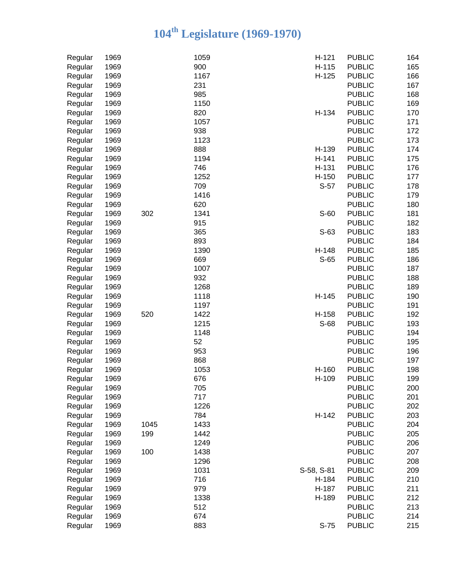| Regular | 1969 |      | 1059 | $H-121$    | <b>PUBLIC</b> | 164 |
|---------|------|------|------|------------|---------------|-----|
| Regular | 1969 |      | 900  | H-115      | <b>PUBLIC</b> | 165 |
| Regular | 1969 |      | 1167 | $H-125$    | <b>PUBLIC</b> | 166 |
| Regular | 1969 |      | 231  |            | <b>PUBLIC</b> | 167 |
| Regular | 1969 |      | 985  |            | <b>PUBLIC</b> | 168 |
| Regular | 1969 |      | 1150 |            | <b>PUBLIC</b> | 169 |
| Regular | 1969 |      | 820  | H-134      | <b>PUBLIC</b> | 170 |
| Regular | 1969 |      | 1057 |            | <b>PUBLIC</b> | 171 |
| Regular | 1969 |      | 938  |            | <b>PUBLIC</b> | 172 |
| Regular | 1969 |      | 1123 |            | <b>PUBLIC</b> | 173 |
| Regular | 1969 |      | 888  | H-139      | <b>PUBLIC</b> | 174 |
| Regular | 1969 |      | 1194 | H-141      | <b>PUBLIC</b> | 175 |
| Regular | 1969 |      | 746  | H-131      | <b>PUBLIC</b> | 176 |
| Regular | 1969 |      | 1252 | H-150      | <b>PUBLIC</b> | 177 |
| Regular | 1969 |      | 709  | $S-57$     | <b>PUBLIC</b> | 178 |
| Regular | 1969 |      | 1416 |            | <b>PUBLIC</b> | 179 |
| Regular | 1969 |      | 620  |            | <b>PUBLIC</b> | 180 |
| Regular | 1969 | 302  | 1341 | $S-60$     | <b>PUBLIC</b> | 181 |
| Regular | 1969 |      | 915  |            | <b>PUBLIC</b> | 182 |
| Regular | 1969 |      | 365  | $S-63$     | <b>PUBLIC</b> | 183 |
| Regular | 1969 |      | 893  |            | <b>PUBLIC</b> | 184 |
| Regular | 1969 |      | 1390 | H-148      | <b>PUBLIC</b> | 185 |
| Regular | 1969 |      | 669  | S-65       | <b>PUBLIC</b> | 186 |
| Regular | 1969 |      | 1007 |            | <b>PUBLIC</b> | 187 |
| Regular | 1969 |      | 932  |            | <b>PUBLIC</b> | 188 |
| Regular | 1969 |      | 1268 |            | <b>PUBLIC</b> | 189 |
| Regular | 1969 |      | 1118 | H-145      | <b>PUBLIC</b> | 190 |
| Regular | 1969 |      | 1197 |            | <b>PUBLIC</b> | 191 |
| Regular | 1969 | 520  | 1422 | H-158      | <b>PUBLIC</b> | 192 |
| Regular | 1969 |      | 1215 | S-68       | <b>PUBLIC</b> | 193 |
| Regular | 1969 |      | 1148 |            | <b>PUBLIC</b> | 194 |
| Regular | 1969 |      | 52   |            | <b>PUBLIC</b> | 195 |
| Regular | 1969 |      | 953  |            | <b>PUBLIC</b> | 196 |
| Regular | 1969 |      | 868  |            | <b>PUBLIC</b> | 197 |
| Regular | 1969 |      | 1053 | H-160      | <b>PUBLIC</b> | 198 |
| Regular | 1969 |      | 676  | H-109      | <b>PUBLIC</b> | 199 |
| Regular | 1969 |      | 705  |            | <b>PUBLIC</b> | 200 |
| Regular | 1969 |      | 717  |            | <b>PUBLIC</b> | 201 |
| Regular | 1969 |      | 1226 |            | <b>PUBLIC</b> | 202 |
| Regular | 1969 |      | 784  | H-142      | <b>PUBLIC</b> | 203 |
| Regular | 1969 | 1045 | 1433 |            | <b>PUBLIC</b> | 204 |
|         | 1969 | 199  | 1442 |            | <b>PUBLIC</b> | 205 |
| Regular | 1969 |      | 1249 |            | <b>PUBLIC</b> | 206 |
| Regular |      | 100  |      |            | <b>PUBLIC</b> | 207 |
| Regular | 1969 |      | 1438 |            |               |     |
| Regular | 1969 |      | 1296 |            | <b>PUBLIC</b> | 208 |
| Regular | 1969 |      | 1031 | S-58, S-81 | <b>PUBLIC</b> | 209 |
| Regular | 1969 |      | 716  | H-184      | <b>PUBLIC</b> | 210 |
| Regular | 1969 |      | 979  | H-187      | <b>PUBLIC</b> | 211 |
| Regular | 1969 |      | 1338 | H-189      | <b>PUBLIC</b> | 212 |
| Regular | 1969 |      | 512  |            | <b>PUBLIC</b> | 213 |
| Regular | 1969 |      | 674  |            | <b>PUBLIC</b> | 214 |
| Regular | 1969 |      | 883  | $S-75$     | <b>PUBLIC</b> | 215 |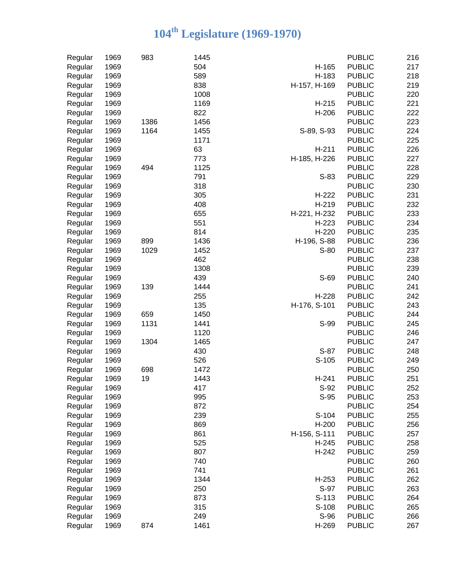| 504<br><b>PUBLIC</b><br>217<br>1969<br>H-165<br>589<br>218<br>1969<br>H-183<br><b>PUBLIC</b><br>Regular<br>838<br>H-157, H-169<br>219<br>1969<br><b>PUBLIC</b><br>Regular<br>220<br>1969<br>1008<br><b>PUBLIC</b><br>Regular<br>221<br>1969<br>1169<br><b>PUBLIC</b><br>Regular<br>$H-215$<br>822<br>222<br>1969<br>H-206<br><b>PUBLIC</b><br>Regular<br>1456<br>223<br>1969<br>1386<br><b>PUBLIC</b><br>Regular<br>1164<br>S-89, S-93<br>224<br>1969<br>1455<br><b>PUBLIC</b><br>Regular<br>225<br>1969<br>1171<br><b>PUBLIC</b><br>Regular<br>63<br>226<br>1969<br><b>PUBLIC</b><br>H-211<br>Regular<br>773<br>227<br>1969<br><b>PUBLIC</b><br>Regular<br>H-185, H-226<br>228<br>1969<br>494<br>1125<br><b>PUBLIC</b><br>Regular<br>229<br>1969<br>791<br>$S-83$<br><b>PUBLIC</b><br>Regular<br>1969<br>318<br><b>PUBLIC</b><br>230<br>Regular<br>305<br>1969<br><b>PUBLIC</b><br>231<br>Regular<br>H-222<br>408<br>1969<br><b>PUBLIC</b><br>232<br>Regular<br>H-219<br>655<br>1969<br><b>PUBLIC</b><br>233<br>Regular<br>H-221, H-232<br>551<br>234<br>1969<br>H-223<br><b>PUBLIC</b><br>Regular<br>814<br>1969<br>H-220<br><b>PUBLIC</b><br>235<br>Regular<br>1969<br>236<br>899<br>1436<br>H-196, S-88<br><b>PUBLIC</b><br>Regular<br>1969<br>237<br>1029<br>1452<br>$S-80$<br><b>PUBLIC</b><br>Regular<br>1969<br>462<br>238<br><b>PUBLIC</b><br>Regular<br>1969<br>1308<br>239<br><b>PUBLIC</b><br>Regular<br>1969<br>439<br>S-69<br><b>PUBLIC</b><br>240<br>Regular<br>1969<br>1444<br>241<br>139<br><b>PUBLIC</b><br>Regular<br>255<br>242<br>1969<br>H-228<br><b>PUBLIC</b><br>Regular<br>135<br>243<br>1969<br>H-176, S-101<br><b>PUBLIC</b><br>Regular<br>1969<br>244<br>659<br>1450<br><b>PUBLIC</b><br>Regular<br>1969<br>245<br>1131<br>1441<br>S-99<br><b>PUBLIC</b><br>Regular<br>246<br>1969<br>1120<br><b>PUBLIC</b><br>Regular<br>1304<br>247<br>1969<br>1465<br><b>PUBLIC</b><br>Regular<br>$S-87$<br>248<br>1969<br>430<br><b>PUBLIC</b><br>Regular<br>526<br>S-105<br>1969<br><b>PUBLIC</b><br>249<br>Regular<br>1969<br>698<br>1472<br><b>PUBLIC</b><br>250<br>Regular<br>19<br>1969<br>H-241<br><b>PUBLIC</b><br>251<br>Regular<br>1443<br>252<br>1969<br>417<br>S-92<br><b>PUBLIC</b><br>Regular<br>S-95<br><b>PUBLIC</b><br>253<br>1969<br>995<br>Regular<br>872<br>1969<br><b>PUBLIC</b><br>254<br>Regular<br>239<br>S-104<br><b>PUBLIC</b><br>255<br>1969<br>Regular<br>1969<br>869<br><b>PUBLIC</b><br>256<br>H-200<br>Regular<br>1969<br>861<br><b>PUBLIC</b><br>257<br>Regular<br>H-156, S-111<br>1969<br>525<br><b>PUBLIC</b><br>258<br>Regular<br>H-245<br>807<br><b>PUBLIC</b><br>259<br>1969<br>H-242<br>Regular<br>1969<br>740<br><b>PUBLIC</b><br>260<br>Regular<br>1969<br>741<br><b>PUBLIC</b><br>261<br>Regular<br>1969<br>1344<br><b>PUBLIC</b><br>262<br>$H-253$<br>Regular<br>250<br>S-97<br>263<br>1969<br><b>PUBLIC</b><br>Regular<br>1969<br>873<br>264<br>Regular<br>S-113<br><b>PUBLIC</b><br>1969<br>315<br>265<br>Regular<br>S-108<br><b>PUBLIC</b><br>249<br>1969<br>S-96<br><b>PUBLIC</b><br>266<br>Regular<br>1969<br>H-269<br><b>PUBLIC</b><br>874<br>1461<br>267 | Regular | 1969 | 983 | 1445 | <b>PUBLIC</b> | 216 |
|--------------------------------------------------------------------------------------------------------------------------------------------------------------------------------------------------------------------------------------------------------------------------------------------------------------------------------------------------------------------------------------------------------------------------------------------------------------------------------------------------------------------------------------------------------------------------------------------------------------------------------------------------------------------------------------------------------------------------------------------------------------------------------------------------------------------------------------------------------------------------------------------------------------------------------------------------------------------------------------------------------------------------------------------------------------------------------------------------------------------------------------------------------------------------------------------------------------------------------------------------------------------------------------------------------------------------------------------------------------------------------------------------------------------------------------------------------------------------------------------------------------------------------------------------------------------------------------------------------------------------------------------------------------------------------------------------------------------------------------------------------------------------------------------------------------------------------------------------------------------------------------------------------------------------------------------------------------------------------------------------------------------------------------------------------------------------------------------------------------------------------------------------------------------------------------------------------------------------------------------------------------------------------------------------------------------------------------------------------------------------------------------------------------------------------------------------------------------------------------------------------------------------------------------------------------------------------------------------------------------------------------------------------------------------------------------------------------------------------------------------------------------------------------------------------------------------------------------------------------------------------------------------------------------------------------------------------------------------------------------------------------------------------------------------------------------------------------------------------------------------|---------|------|-----|------|---------------|-----|
|                                                                                                                                                                                                                                                                                                                                                                                                                                                                                                                                                                                                                                                                                                                                                                                                                                                                                                                                                                                                                                                                                                                                                                                                                                                                                                                                                                                                                                                                                                                                                                                                                                                                                                                                                                                                                                                                                                                                                                                                                                                                                                                                                                                                                                                                                                                                                                                                                                                                                                                                                                                                                                                                                                                                                                                                                                                                                                                                                                                                                                                                                                                          | Regular |      |     |      |               |     |
|                                                                                                                                                                                                                                                                                                                                                                                                                                                                                                                                                                                                                                                                                                                                                                                                                                                                                                                                                                                                                                                                                                                                                                                                                                                                                                                                                                                                                                                                                                                                                                                                                                                                                                                                                                                                                                                                                                                                                                                                                                                                                                                                                                                                                                                                                                                                                                                                                                                                                                                                                                                                                                                                                                                                                                                                                                                                                                                                                                                                                                                                                                                          |         |      |     |      |               |     |
|                                                                                                                                                                                                                                                                                                                                                                                                                                                                                                                                                                                                                                                                                                                                                                                                                                                                                                                                                                                                                                                                                                                                                                                                                                                                                                                                                                                                                                                                                                                                                                                                                                                                                                                                                                                                                                                                                                                                                                                                                                                                                                                                                                                                                                                                                                                                                                                                                                                                                                                                                                                                                                                                                                                                                                                                                                                                                                                                                                                                                                                                                                                          |         |      |     |      |               |     |
|                                                                                                                                                                                                                                                                                                                                                                                                                                                                                                                                                                                                                                                                                                                                                                                                                                                                                                                                                                                                                                                                                                                                                                                                                                                                                                                                                                                                                                                                                                                                                                                                                                                                                                                                                                                                                                                                                                                                                                                                                                                                                                                                                                                                                                                                                                                                                                                                                                                                                                                                                                                                                                                                                                                                                                                                                                                                                                                                                                                                                                                                                                                          |         |      |     |      |               |     |
|                                                                                                                                                                                                                                                                                                                                                                                                                                                                                                                                                                                                                                                                                                                                                                                                                                                                                                                                                                                                                                                                                                                                                                                                                                                                                                                                                                                                                                                                                                                                                                                                                                                                                                                                                                                                                                                                                                                                                                                                                                                                                                                                                                                                                                                                                                                                                                                                                                                                                                                                                                                                                                                                                                                                                                                                                                                                                                                                                                                                                                                                                                                          |         |      |     |      |               |     |
|                                                                                                                                                                                                                                                                                                                                                                                                                                                                                                                                                                                                                                                                                                                                                                                                                                                                                                                                                                                                                                                                                                                                                                                                                                                                                                                                                                                                                                                                                                                                                                                                                                                                                                                                                                                                                                                                                                                                                                                                                                                                                                                                                                                                                                                                                                                                                                                                                                                                                                                                                                                                                                                                                                                                                                                                                                                                                                                                                                                                                                                                                                                          |         |      |     |      |               |     |
|                                                                                                                                                                                                                                                                                                                                                                                                                                                                                                                                                                                                                                                                                                                                                                                                                                                                                                                                                                                                                                                                                                                                                                                                                                                                                                                                                                                                                                                                                                                                                                                                                                                                                                                                                                                                                                                                                                                                                                                                                                                                                                                                                                                                                                                                                                                                                                                                                                                                                                                                                                                                                                                                                                                                                                                                                                                                                                                                                                                                                                                                                                                          |         |      |     |      |               |     |
|                                                                                                                                                                                                                                                                                                                                                                                                                                                                                                                                                                                                                                                                                                                                                                                                                                                                                                                                                                                                                                                                                                                                                                                                                                                                                                                                                                                                                                                                                                                                                                                                                                                                                                                                                                                                                                                                                                                                                                                                                                                                                                                                                                                                                                                                                                                                                                                                                                                                                                                                                                                                                                                                                                                                                                                                                                                                                                                                                                                                                                                                                                                          |         |      |     |      |               |     |
|                                                                                                                                                                                                                                                                                                                                                                                                                                                                                                                                                                                                                                                                                                                                                                                                                                                                                                                                                                                                                                                                                                                                                                                                                                                                                                                                                                                                                                                                                                                                                                                                                                                                                                                                                                                                                                                                                                                                                                                                                                                                                                                                                                                                                                                                                                                                                                                                                                                                                                                                                                                                                                                                                                                                                                                                                                                                                                                                                                                                                                                                                                                          |         |      |     |      |               |     |
|                                                                                                                                                                                                                                                                                                                                                                                                                                                                                                                                                                                                                                                                                                                                                                                                                                                                                                                                                                                                                                                                                                                                                                                                                                                                                                                                                                                                                                                                                                                                                                                                                                                                                                                                                                                                                                                                                                                                                                                                                                                                                                                                                                                                                                                                                                                                                                                                                                                                                                                                                                                                                                                                                                                                                                                                                                                                                                                                                                                                                                                                                                                          |         |      |     |      |               |     |
|                                                                                                                                                                                                                                                                                                                                                                                                                                                                                                                                                                                                                                                                                                                                                                                                                                                                                                                                                                                                                                                                                                                                                                                                                                                                                                                                                                                                                                                                                                                                                                                                                                                                                                                                                                                                                                                                                                                                                                                                                                                                                                                                                                                                                                                                                                                                                                                                                                                                                                                                                                                                                                                                                                                                                                                                                                                                                                                                                                                                                                                                                                                          |         |      |     |      |               |     |
|                                                                                                                                                                                                                                                                                                                                                                                                                                                                                                                                                                                                                                                                                                                                                                                                                                                                                                                                                                                                                                                                                                                                                                                                                                                                                                                                                                                                                                                                                                                                                                                                                                                                                                                                                                                                                                                                                                                                                                                                                                                                                                                                                                                                                                                                                                                                                                                                                                                                                                                                                                                                                                                                                                                                                                                                                                                                                                                                                                                                                                                                                                                          |         |      |     |      |               |     |
|                                                                                                                                                                                                                                                                                                                                                                                                                                                                                                                                                                                                                                                                                                                                                                                                                                                                                                                                                                                                                                                                                                                                                                                                                                                                                                                                                                                                                                                                                                                                                                                                                                                                                                                                                                                                                                                                                                                                                                                                                                                                                                                                                                                                                                                                                                                                                                                                                                                                                                                                                                                                                                                                                                                                                                                                                                                                                                                                                                                                                                                                                                                          |         |      |     |      |               |     |
|                                                                                                                                                                                                                                                                                                                                                                                                                                                                                                                                                                                                                                                                                                                                                                                                                                                                                                                                                                                                                                                                                                                                                                                                                                                                                                                                                                                                                                                                                                                                                                                                                                                                                                                                                                                                                                                                                                                                                                                                                                                                                                                                                                                                                                                                                                                                                                                                                                                                                                                                                                                                                                                                                                                                                                                                                                                                                                                                                                                                                                                                                                                          |         |      |     |      |               |     |
|                                                                                                                                                                                                                                                                                                                                                                                                                                                                                                                                                                                                                                                                                                                                                                                                                                                                                                                                                                                                                                                                                                                                                                                                                                                                                                                                                                                                                                                                                                                                                                                                                                                                                                                                                                                                                                                                                                                                                                                                                                                                                                                                                                                                                                                                                                                                                                                                                                                                                                                                                                                                                                                                                                                                                                                                                                                                                                                                                                                                                                                                                                                          |         |      |     |      |               |     |
|                                                                                                                                                                                                                                                                                                                                                                                                                                                                                                                                                                                                                                                                                                                                                                                                                                                                                                                                                                                                                                                                                                                                                                                                                                                                                                                                                                                                                                                                                                                                                                                                                                                                                                                                                                                                                                                                                                                                                                                                                                                                                                                                                                                                                                                                                                                                                                                                                                                                                                                                                                                                                                                                                                                                                                                                                                                                                                                                                                                                                                                                                                                          |         |      |     |      |               |     |
|                                                                                                                                                                                                                                                                                                                                                                                                                                                                                                                                                                                                                                                                                                                                                                                                                                                                                                                                                                                                                                                                                                                                                                                                                                                                                                                                                                                                                                                                                                                                                                                                                                                                                                                                                                                                                                                                                                                                                                                                                                                                                                                                                                                                                                                                                                                                                                                                                                                                                                                                                                                                                                                                                                                                                                                                                                                                                                                                                                                                                                                                                                                          |         |      |     |      |               |     |
|                                                                                                                                                                                                                                                                                                                                                                                                                                                                                                                                                                                                                                                                                                                                                                                                                                                                                                                                                                                                                                                                                                                                                                                                                                                                                                                                                                                                                                                                                                                                                                                                                                                                                                                                                                                                                                                                                                                                                                                                                                                                                                                                                                                                                                                                                                                                                                                                                                                                                                                                                                                                                                                                                                                                                                                                                                                                                                                                                                                                                                                                                                                          |         |      |     |      |               |     |
|                                                                                                                                                                                                                                                                                                                                                                                                                                                                                                                                                                                                                                                                                                                                                                                                                                                                                                                                                                                                                                                                                                                                                                                                                                                                                                                                                                                                                                                                                                                                                                                                                                                                                                                                                                                                                                                                                                                                                                                                                                                                                                                                                                                                                                                                                                                                                                                                                                                                                                                                                                                                                                                                                                                                                                                                                                                                                                                                                                                                                                                                                                                          |         |      |     |      |               |     |
|                                                                                                                                                                                                                                                                                                                                                                                                                                                                                                                                                                                                                                                                                                                                                                                                                                                                                                                                                                                                                                                                                                                                                                                                                                                                                                                                                                                                                                                                                                                                                                                                                                                                                                                                                                                                                                                                                                                                                                                                                                                                                                                                                                                                                                                                                                                                                                                                                                                                                                                                                                                                                                                                                                                                                                                                                                                                                                                                                                                                                                                                                                                          |         |      |     |      |               |     |
|                                                                                                                                                                                                                                                                                                                                                                                                                                                                                                                                                                                                                                                                                                                                                                                                                                                                                                                                                                                                                                                                                                                                                                                                                                                                                                                                                                                                                                                                                                                                                                                                                                                                                                                                                                                                                                                                                                                                                                                                                                                                                                                                                                                                                                                                                                                                                                                                                                                                                                                                                                                                                                                                                                                                                                                                                                                                                                                                                                                                                                                                                                                          |         |      |     |      |               |     |
|                                                                                                                                                                                                                                                                                                                                                                                                                                                                                                                                                                                                                                                                                                                                                                                                                                                                                                                                                                                                                                                                                                                                                                                                                                                                                                                                                                                                                                                                                                                                                                                                                                                                                                                                                                                                                                                                                                                                                                                                                                                                                                                                                                                                                                                                                                                                                                                                                                                                                                                                                                                                                                                                                                                                                                                                                                                                                                                                                                                                                                                                                                                          |         |      |     |      |               |     |
|                                                                                                                                                                                                                                                                                                                                                                                                                                                                                                                                                                                                                                                                                                                                                                                                                                                                                                                                                                                                                                                                                                                                                                                                                                                                                                                                                                                                                                                                                                                                                                                                                                                                                                                                                                                                                                                                                                                                                                                                                                                                                                                                                                                                                                                                                                                                                                                                                                                                                                                                                                                                                                                                                                                                                                                                                                                                                                                                                                                                                                                                                                                          |         |      |     |      |               |     |
|                                                                                                                                                                                                                                                                                                                                                                                                                                                                                                                                                                                                                                                                                                                                                                                                                                                                                                                                                                                                                                                                                                                                                                                                                                                                                                                                                                                                                                                                                                                                                                                                                                                                                                                                                                                                                                                                                                                                                                                                                                                                                                                                                                                                                                                                                                                                                                                                                                                                                                                                                                                                                                                                                                                                                                                                                                                                                                                                                                                                                                                                                                                          |         |      |     |      |               |     |
|                                                                                                                                                                                                                                                                                                                                                                                                                                                                                                                                                                                                                                                                                                                                                                                                                                                                                                                                                                                                                                                                                                                                                                                                                                                                                                                                                                                                                                                                                                                                                                                                                                                                                                                                                                                                                                                                                                                                                                                                                                                                                                                                                                                                                                                                                                                                                                                                                                                                                                                                                                                                                                                                                                                                                                                                                                                                                                                                                                                                                                                                                                                          |         |      |     |      |               |     |
|                                                                                                                                                                                                                                                                                                                                                                                                                                                                                                                                                                                                                                                                                                                                                                                                                                                                                                                                                                                                                                                                                                                                                                                                                                                                                                                                                                                                                                                                                                                                                                                                                                                                                                                                                                                                                                                                                                                                                                                                                                                                                                                                                                                                                                                                                                                                                                                                                                                                                                                                                                                                                                                                                                                                                                                                                                                                                                                                                                                                                                                                                                                          |         |      |     |      |               |     |
|                                                                                                                                                                                                                                                                                                                                                                                                                                                                                                                                                                                                                                                                                                                                                                                                                                                                                                                                                                                                                                                                                                                                                                                                                                                                                                                                                                                                                                                                                                                                                                                                                                                                                                                                                                                                                                                                                                                                                                                                                                                                                                                                                                                                                                                                                                                                                                                                                                                                                                                                                                                                                                                                                                                                                                                                                                                                                                                                                                                                                                                                                                                          |         |      |     |      |               |     |
|                                                                                                                                                                                                                                                                                                                                                                                                                                                                                                                                                                                                                                                                                                                                                                                                                                                                                                                                                                                                                                                                                                                                                                                                                                                                                                                                                                                                                                                                                                                                                                                                                                                                                                                                                                                                                                                                                                                                                                                                                                                                                                                                                                                                                                                                                                                                                                                                                                                                                                                                                                                                                                                                                                                                                                                                                                                                                                                                                                                                                                                                                                                          |         |      |     |      |               |     |
|                                                                                                                                                                                                                                                                                                                                                                                                                                                                                                                                                                                                                                                                                                                                                                                                                                                                                                                                                                                                                                                                                                                                                                                                                                                                                                                                                                                                                                                                                                                                                                                                                                                                                                                                                                                                                                                                                                                                                                                                                                                                                                                                                                                                                                                                                                                                                                                                                                                                                                                                                                                                                                                                                                                                                                                                                                                                                                                                                                                                                                                                                                                          |         |      |     |      |               |     |
|                                                                                                                                                                                                                                                                                                                                                                                                                                                                                                                                                                                                                                                                                                                                                                                                                                                                                                                                                                                                                                                                                                                                                                                                                                                                                                                                                                                                                                                                                                                                                                                                                                                                                                                                                                                                                                                                                                                                                                                                                                                                                                                                                                                                                                                                                                                                                                                                                                                                                                                                                                                                                                                                                                                                                                                                                                                                                                                                                                                                                                                                                                                          |         |      |     |      |               |     |
|                                                                                                                                                                                                                                                                                                                                                                                                                                                                                                                                                                                                                                                                                                                                                                                                                                                                                                                                                                                                                                                                                                                                                                                                                                                                                                                                                                                                                                                                                                                                                                                                                                                                                                                                                                                                                                                                                                                                                                                                                                                                                                                                                                                                                                                                                                                                                                                                                                                                                                                                                                                                                                                                                                                                                                                                                                                                                                                                                                                                                                                                                                                          |         |      |     |      |               |     |
|                                                                                                                                                                                                                                                                                                                                                                                                                                                                                                                                                                                                                                                                                                                                                                                                                                                                                                                                                                                                                                                                                                                                                                                                                                                                                                                                                                                                                                                                                                                                                                                                                                                                                                                                                                                                                                                                                                                                                                                                                                                                                                                                                                                                                                                                                                                                                                                                                                                                                                                                                                                                                                                                                                                                                                                                                                                                                                                                                                                                                                                                                                                          |         |      |     |      |               |     |
|                                                                                                                                                                                                                                                                                                                                                                                                                                                                                                                                                                                                                                                                                                                                                                                                                                                                                                                                                                                                                                                                                                                                                                                                                                                                                                                                                                                                                                                                                                                                                                                                                                                                                                                                                                                                                                                                                                                                                                                                                                                                                                                                                                                                                                                                                                                                                                                                                                                                                                                                                                                                                                                                                                                                                                                                                                                                                                                                                                                                                                                                                                                          |         |      |     |      |               |     |
|                                                                                                                                                                                                                                                                                                                                                                                                                                                                                                                                                                                                                                                                                                                                                                                                                                                                                                                                                                                                                                                                                                                                                                                                                                                                                                                                                                                                                                                                                                                                                                                                                                                                                                                                                                                                                                                                                                                                                                                                                                                                                                                                                                                                                                                                                                                                                                                                                                                                                                                                                                                                                                                                                                                                                                                                                                                                                                                                                                                                                                                                                                                          |         |      |     |      |               |     |
|                                                                                                                                                                                                                                                                                                                                                                                                                                                                                                                                                                                                                                                                                                                                                                                                                                                                                                                                                                                                                                                                                                                                                                                                                                                                                                                                                                                                                                                                                                                                                                                                                                                                                                                                                                                                                                                                                                                                                                                                                                                                                                                                                                                                                                                                                                                                                                                                                                                                                                                                                                                                                                                                                                                                                                                                                                                                                                                                                                                                                                                                                                                          |         |      |     |      |               |     |
|                                                                                                                                                                                                                                                                                                                                                                                                                                                                                                                                                                                                                                                                                                                                                                                                                                                                                                                                                                                                                                                                                                                                                                                                                                                                                                                                                                                                                                                                                                                                                                                                                                                                                                                                                                                                                                                                                                                                                                                                                                                                                                                                                                                                                                                                                                                                                                                                                                                                                                                                                                                                                                                                                                                                                                                                                                                                                                                                                                                                                                                                                                                          |         |      |     |      |               |     |
|                                                                                                                                                                                                                                                                                                                                                                                                                                                                                                                                                                                                                                                                                                                                                                                                                                                                                                                                                                                                                                                                                                                                                                                                                                                                                                                                                                                                                                                                                                                                                                                                                                                                                                                                                                                                                                                                                                                                                                                                                                                                                                                                                                                                                                                                                                                                                                                                                                                                                                                                                                                                                                                                                                                                                                                                                                                                                                                                                                                                                                                                                                                          |         |      |     |      |               |     |
|                                                                                                                                                                                                                                                                                                                                                                                                                                                                                                                                                                                                                                                                                                                                                                                                                                                                                                                                                                                                                                                                                                                                                                                                                                                                                                                                                                                                                                                                                                                                                                                                                                                                                                                                                                                                                                                                                                                                                                                                                                                                                                                                                                                                                                                                                                                                                                                                                                                                                                                                                                                                                                                                                                                                                                                                                                                                                                                                                                                                                                                                                                                          |         |      |     |      |               |     |
|                                                                                                                                                                                                                                                                                                                                                                                                                                                                                                                                                                                                                                                                                                                                                                                                                                                                                                                                                                                                                                                                                                                                                                                                                                                                                                                                                                                                                                                                                                                                                                                                                                                                                                                                                                                                                                                                                                                                                                                                                                                                                                                                                                                                                                                                                                                                                                                                                                                                                                                                                                                                                                                                                                                                                                                                                                                                                                                                                                                                                                                                                                                          |         |      |     |      |               |     |
|                                                                                                                                                                                                                                                                                                                                                                                                                                                                                                                                                                                                                                                                                                                                                                                                                                                                                                                                                                                                                                                                                                                                                                                                                                                                                                                                                                                                                                                                                                                                                                                                                                                                                                                                                                                                                                                                                                                                                                                                                                                                                                                                                                                                                                                                                                                                                                                                                                                                                                                                                                                                                                                                                                                                                                                                                                                                                                                                                                                                                                                                                                                          |         |      |     |      |               |     |
|                                                                                                                                                                                                                                                                                                                                                                                                                                                                                                                                                                                                                                                                                                                                                                                                                                                                                                                                                                                                                                                                                                                                                                                                                                                                                                                                                                                                                                                                                                                                                                                                                                                                                                                                                                                                                                                                                                                                                                                                                                                                                                                                                                                                                                                                                                                                                                                                                                                                                                                                                                                                                                                                                                                                                                                                                                                                                                                                                                                                                                                                                                                          |         |      |     |      |               |     |
|                                                                                                                                                                                                                                                                                                                                                                                                                                                                                                                                                                                                                                                                                                                                                                                                                                                                                                                                                                                                                                                                                                                                                                                                                                                                                                                                                                                                                                                                                                                                                                                                                                                                                                                                                                                                                                                                                                                                                                                                                                                                                                                                                                                                                                                                                                                                                                                                                                                                                                                                                                                                                                                                                                                                                                                                                                                                                                                                                                                                                                                                                                                          |         |      |     |      |               |     |
|                                                                                                                                                                                                                                                                                                                                                                                                                                                                                                                                                                                                                                                                                                                                                                                                                                                                                                                                                                                                                                                                                                                                                                                                                                                                                                                                                                                                                                                                                                                                                                                                                                                                                                                                                                                                                                                                                                                                                                                                                                                                                                                                                                                                                                                                                                                                                                                                                                                                                                                                                                                                                                                                                                                                                                                                                                                                                                                                                                                                                                                                                                                          |         |      |     |      |               |     |
|                                                                                                                                                                                                                                                                                                                                                                                                                                                                                                                                                                                                                                                                                                                                                                                                                                                                                                                                                                                                                                                                                                                                                                                                                                                                                                                                                                                                                                                                                                                                                                                                                                                                                                                                                                                                                                                                                                                                                                                                                                                                                                                                                                                                                                                                                                                                                                                                                                                                                                                                                                                                                                                                                                                                                                                                                                                                                                                                                                                                                                                                                                                          |         |      |     |      |               |     |
|                                                                                                                                                                                                                                                                                                                                                                                                                                                                                                                                                                                                                                                                                                                                                                                                                                                                                                                                                                                                                                                                                                                                                                                                                                                                                                                                                                                                                                                                                                                                                                                                                                                                                                                                                                                                                                                                                                                                                                                                                                                                                                                                                                                                                                                                                                                                                                                                                                                                                                                                                                                                                                                                                                                                                                                                                                                                                                                                                                                                                                                                                                                          |         |      |     |      |               |     |
|                                                                                                                                                                                                                                                                                                                                                                                                                                                                                                                                                                                                                                                                                                                                                                                                                                                                                                                                                                                                                                                                                                                                                                                                                                                                                                                                                                                                                                                                                                                                                                                                                                                                                                                                                                                                                                                                                                                                                                                                                                                                                                                                                                                                                                                                                                                                                                                                                                                                                                                                                                                                                                                                                                                                                                                                                                                                                                                                                                                                                                                                                                                          |         |      |     |      |               |     |
|                                                                                                                                                                                                                                                                                                                                                                                                                                                                                                                                                                                                                                                                                                                                                                                                                                                                                                                                                                                                                                                                                                                                                                                                                                                                                                                                                                                                                                                                                                                                                                                                                                                                                                                                                                                                                                                                                                                                                                                                                                                                                                                                                                                                                                                                                                                                                                                                                                                                                                                                                                                                                                                                                                                                                                                                                                                                                                                                                                                                                                                                                                                          |         |      |     |      |               |     |
|                                                                                                                                                                                                                                                                                                                                                                                                                                                                                                                                                                                                                                                                                                                                                                                                                                                                                                                                                                                                                                                                                                                                                                                                                                                                                                                                                                                                                                                                                                                                                                                                                                                                                                                                                                                                                                                                                                                                                                                                                                                                                                                                                                                                                                                                                                                                                                                                                                                                                                                                                                                                                                                                                                                                                                                                                                                                                                                                                                                                                                                                                                                          |         |      |     |      |               |     |
|                                                                                                                                                                                                                                                                                                                                                                                                                                                                                                                                                                                                                                                                                                                                                                                                                                                                                                                                                                                                                                                                                                                                                                                                                                                                                                                                                                                                                                                                                                                                                                                                                                                                                                                                                                                                                                                                                                                                                                                                                                                                                                                                                                                                                                                                                                                                                                                                                                                                                                                                                                                                                                                                                                                                                                                                                                                                                                                                                                                                                                                                                                                          |         |      |     |      |               |     |
|                                                                                                                                                                                                                                                                                                                                                                                                                                                                                                                                                                                                                                                                                                                                                                                                                                                                                                                                                                                                                                                                                                                                                                                                                                                                                                                                                                                                                                                                                                                                                                                                                                                                                                                                                                                                                                                                                                                                                                                                                                                                                                                                                                                                                                                                                                                                                                                                                                                                                                                                                                                                                                                                                                                                                                                                                                                                                                                                                                                                                                                                                                                          |         |      |     |      |               |     |
|                                                                                                                                                                                                                                                                                                                                                                                                                                                                                                                                                                                                                                                                                                                                                                                                                                                                                                                                                                                                                                                                                                                                                                                                                                                                                                                                                                                                                                                                                                                                                                                                                                                                                                                                                                                                                                                                                                                                                                                                                                                                                                                                                                                                                                                                                                                                                                                                                                                                                                                                                                                                                                                                                                                                                                                                                                                                                                                                                                                                                                                                                                                          | Regular |      |     |      |               |     |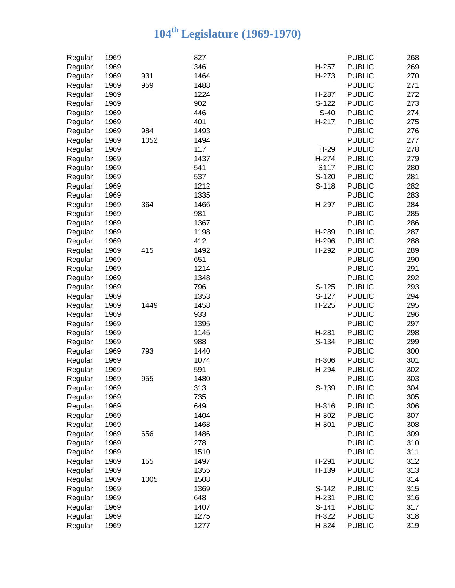| Regular | 1969 |      | 827  |         | <b>PUBLIC</b>                  | 268        |
|---------|------|------|------|---------|--------------------------------|------------|
| Regular | 1969 |      | 346  | H-257   | <b>PUBLIC</b>                  | 269        |
| Regular | 1969 | 931  | 1464 | H-273   | <b>PUBLIC</b>                  | 270        |
| Regular | 1969 | 959  | 1488 |         | <b>PUBLIC</b>                  | 271        |
| Regular | 1969 |      | 1224 | H-287   | <b>PUBLIC</b>                  | 272        |
| Regular | 1969 |      | 902  | S-122   | <b>PUBLIC</b>                  | 273        |
| Regular | 1969 |      | 446  | $S-40$  | <b>PUBLIC</b>                  | 274        |
| Regular | 1969 |      | 401  | H-217   | <b>PUBLIC</b>                  | 275        |
| Regular | 1969 | 984  | 1493 |         | <b>PUBLIC</b>                  | 276        |
| Regular | 1969 | 1052 | 1494 |         | <b>PUBLIC</b>                  | 277        |
| Regular | 1969 |      | 117  | $H-29$  | <b>PUBLIC</b>                  | 278        |
| Regular | 1969 |      | 1437 | H-274   | <b>PUBLIC</b>                  | 279        |
| Regular | 1969 |      | 541  | S117    | <b>PUBLIC</b>                  | 280        |
| Regular | 1969 |      | 537  | S-120   | <b>PUBLIC</b>                  | 281        |
| Regular | 1969 |      | 1212 | S-118   | <b>PUBLIC</b>                  | 282        |
| Regular | 1969 |      | 1335 |         | <b>PUBLIC</b>                  | 283        |
| Regular | 1969 | 364  | 1466 | H-297   | <b>PUBLIC</b>                  | 284        |
| Regular | 1969 |      | 981  |         | <b>PUBLIC</b>                  | 285        |
| Regular | 1969 |      | 1367 |         | <b>PUBLIC</b>                  | 286        |
| Regular | 1969 |      | 1198 | H-289   | <b>PUBLIC</b>                  | 287        |
| Regular | 1969 |      | 412  | H-296   | <b>PUBLIC</b>                  | 288        |
| Regular | 1969 | 415  | 1492 | H-292   | <b>PUBLIC</b>                  | 289        |
| Regular | 1969 |      | 651  |         | <b>PUBLIC</b>                  | 290        |
| Regular | 1969 |      | 1214 |         | <b>PUBLIC</b>                  | 291        |
| Regular | 1969 |      | 1348 |         | <b>PUBLIC</b>                  | 292        |
| Regular | 1969 |      | 796  | $S-125$ | <b>PUBLIC</b>                  | 293        |
| Regular | 1969 |      | 1353 | S-127   | <b>PUBLIC</b>                  | 294        |
| Regular | 1969 | 1449 | 1458 | $H-225$ | <b>PUBLIC</b>                  | 295        |
| Regular | 1969 |      | 933  |         | <b>PUBLIC</b>                  | 296        |
| Regular | 1969 |      | 1395 |         | <b>PUBLIC</b>                  | 297        |
| Regular | 1969 |      | 1145 | H-281   | <b>PUBLIC</b>                  | 298        |
| Regular | 1969 |      | 988  | S-134   | <b>PUBLIC</b>                  | 299        |
| Regular | 1969 | 793  | 1440 |         | <b>PUBLIC</b>                  | 300        |
| Regular | 1969 |      | 1074 | H-306   | <b>PUBLIC</b>                  | 301        |
| Regular | 1969 |      | 591  | H-294   | <b>PUBLIC</b>                  | 302        |
| Regular | 1969 | 955  | 1480 |         | <b>PUBLIC</b>                  | 303        |
| Regular | 1969 |      | 313  | S-139   | <b>PUBLIC</b>                  | 304        |
| Regular | 1969 |      | 735  |         | <b>PUBLIC</b>                  | 305        |
| Regular | 1969 |      | 649  | H-316   | <b>PUBLIC</b>                  | 306        |
| Regular | 1969 |      | 1404 | H-302   | <b>PUBLIC</b>                  | 307        |
|         | 1969 |      | 1468 | H-301   | <b>PUBLIC</b>                  | 308        |
| Regular | 1969 |      | 1486 |         | <b>PUBLIC</b>                  |            |
| Regular | 1969 | 656  | 278  |         | <b>PUBLIC</b>                  | 309<br>310 |
| Regular |      |      |      |         |                                |            |
| Regular | 1969 |      | 1510 |         | <b>PUBLIC</b><br><b>PUBLIC</b> | 311        |
| Regular | 1969 | 155  | 1497 | H-291   |                                | 312        |
| Regular | 1969 |      | 1355 | H-139   | <b>PUBLIC</b>                  | 313        |
| Regular | 1969 | 1005 | 1508 |         | <b>PUBLIC</b>                  | 314        |
| Regular | 1969 |      | 1369 | $S-142$ | <b>PUBLIC</b>                  | 315        |
| Regular | 1969 |      | 648  | H-231   | <b>PUBLIC</b>                  | 316        |
| Regular | 1969 |      | 1407 | $S-141$ | <b>PUBLIC</b>                  | 317        |
| Regular | 1969 |      | 1275 | H-322   | <b>PUBLIC</b>                  | 318        |
| Regular | 1969 |      | 1277 | H-324   | <b>PUBLIC</b>                  | 319        |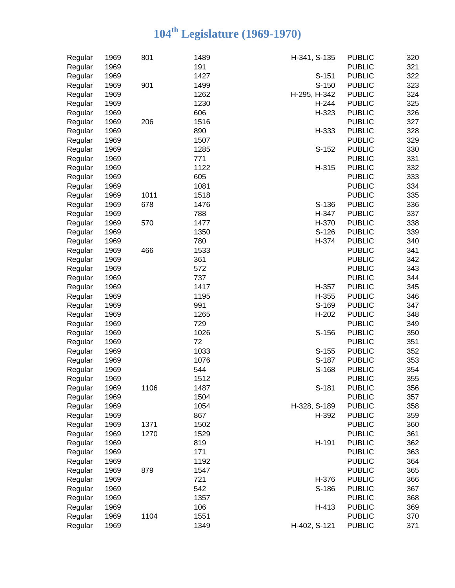| Regular | 1969 | 801  | 1489 | H-341, S-135 | <b>PUBLIC</b> | 320 |
|---------|------|------|------|--------------|---------------|-----|
| Regular | 1969 |      | 191  |              | <b>PUBLIC</b> | 321 |
| Regular | 1969 |      | 1427 | $S-151$      | <b>PUBLIC</b> | 322 |
| Regular | 1969 | 901  | 1499 | S-150        | <b>PUBLIC</b> | 323 |
| Regular | 1969 |      | 1262 | H-295, H-342 | <b>PUBLIC</b> | 324 |
| Regular | 1969 |      | 1230 | H-244        | <b>PUBLIC</b> | 325 |
| Regular | 1969 |      | 606  | H-323        | <b>PUBLIC</b> | 326 |
| Regular | 1969 | 206  | 1516 |              | <b>PUBLIC</b> | 327 |
| Regular | 1969 |      | 890  | H-333        | <b>PUBLIC</b> | 328 |
| Regular | 1969 |      | 1507 |              | <b>PUBLIC</b> | 329 |
| Regular | 1969 |      | 1285 | S-152        | <b>PUBLIC</b> | 330 |
| Regular | 1969 |      | 771  |              | <b>PUBLIC</b> | 331 |
| Regular | 1969 |      | 1122 | H-315        | <b>PUBLIC</b> | 332 |
| Regular | 1969 |      | 605  |              | <b>PUBLIC</b> | 333 |
| Regular | 1969 |      | 1081 |              | <b>PUBLIC</b> | 334 |
| Regular | 1969 | 1011 | 1518 |              | <b>PUBLIC</b> | 335 |
| Regular | 1969 | 678  | 1476 | S-136        | <b>PUBLIC</b> | 336 |
| Regular | 1969 |      | 788  | H-347        | <b>PUBLIC</b> | 337 |
| Regular | 1969 | 570  | 1477 | H-370        | <b>PUBLIC</b> | 338 |
| Regular | 1969 |      | 1350 | S-126        | <b>PUBLIC</b> | 339 |
| Regular | 1969 |      | 780  | H-374        | <b>PUBLIC</b> | 340 |
| Regular | 1969 | 466  | 1533 |              | <b>PUBLIC</b> | 341 |
| Regular | 1969 |      | 361  |              | <b>PUBLIC</b> | 342 |
| Regular | 1969 |      | 572  |              | <b>PUBLIC</b> | 343 |
| Regular | 1969 |      | 737  |              | <b>PUBLIC</b> | 344 |
| Regular | 1969 |      | 1417 | H-357        | <b>PUBLIC</b> | 345 |
| Regular | 1969 |      | 1195 | H-355        | <b>PUBLIC</b> | 346 |
| Regular | 1969 |      | 991  | S-169        | <b>PUBLIC</b> | 347 |
| Regular | 1969 |      | 1265 | H-202        | <b>PUBLIC</b> | 348 |
| Regular | 1969 |      | 729  |              | <b>PUBLIC</b> | 349 |
| Regular | 1969 |      | 1026 | S-156        | <b>PUBLIC</b> | 350 |
| Regular | 1969 |      | 72   |              | <b>PUBLIC</b> | 351 |
| Regular | 1969 |      | 1033 | $S-155$      | <b>PUBLIC</b> | 352 |
| Regular | 1969 |      | 1076 | S-187        | <b>PUBLIC</b> | 353 |
| Regular | 1969 |      | 544  | S-168        | <b>PUBLIC</b> | 354 |
| Regular | 1969 |      | 1512 |              | <b>PUBLIC</b> | 355 |
| Regular | 1969 | 1106 | 1487 | S-181        | <b>PUBLIC</b> | 356 |
| Regular | 1969 |      | 1504 |              | <b>PUBLIC</b> | 357 |
| Regular | 1969 |      | 1054 | H-328, S-189 | <b>PUBLIC</b> | 358 |
| Regular | 1969 |      | 867  | H-392        | <b>PUBLIC</b> | 359 |
| Regular | 1969 | 1371 | 1502 |              | <b>PUBLIC</b> | 360 |
| Regular | 1969 | 1270 | 1529 |              | <b>PUBLIC</b> | 361 |
| Regular | 1969 |      | 819  | H-191        | <b>PUBLIC</b> | 362 |
| Regular | 1969 |      | 171  |              | <b>PUBLIC</b> | 363 |
| Regular | 1969 |      | 1192 |              | <b>PUBLIC</b> | 364 |
| Regular | 1969 | 879  | 1547 |              | <b>PUBLIC</b> | 365 |
| Regular | 1969 |      | 721  | H-376        | <b>PUBLIC</b> | 366 |
| Regular | 1969 |      | 542  | S-186        | <b>PUBLIC</b> | 367 |
| Regular | 1969 |      | 1357 |              | <b>PUBLIC</b> | 368 |
| Regular | 1969 |      | 106  | H-413        | <b>PUBLIC</b> | 369 |
| Regular | 1969 | 1104 | 1551 |              | <b>PUBLIC</b> | 370 |
| Regular | 1969 |      | 1349 | H-402, S-121 | <b>PUBLIC</b> | 371 |
|         |      |      |      |              |               |     |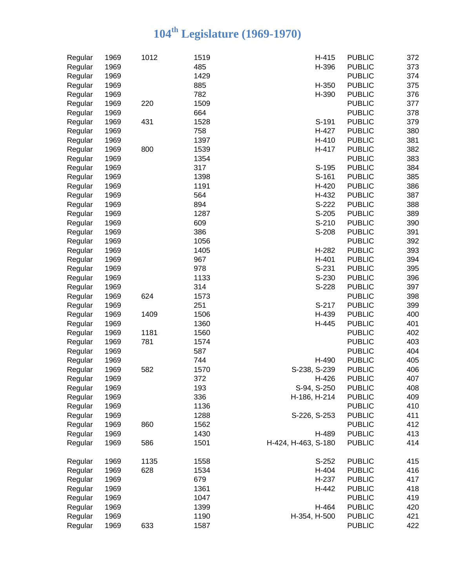| 485<br>H-396<br><b>PUBLIC</b><br>1969<br>Regular<br>1969<br>1429<br><b>PUBLIC</b><br>Regular<br>1969<br>885<br>H-350<br><b>PUBLIC</b><br>Regular<br>1969<br>782<br>H-390<br><b>PUBLIC</b><br>Regular<br>1969<br>1509<br><b>PUBLIC</b><br>220<br>Regular<br>1969<br>664<br><b>PUBLIC</b><br>Regular<br>1969<br>1528<br>431<br>S-191<br><b>PUBLIC</b><br>Regular<br>758<br>1969<br>H-427<br><b>PUBLIC</b><br>Regular<br>1397<br>1969<br>H-410<br><b>PUBLIC</b><br>Regular<br>1539<br>1969<br>800<br>H-417<br><b>PUBLIC</b><br>Regular<br>1969<br>1354<br><b>PUBLIC</b><br>Regular<br>317<br>1969<br>S-195<br><b>PUBLIC</b><br>Regular<br>1969<br>1398<br>S-161<br><b>PUBLIC</b><br>Regular<br>1191<br>1969<br>H-420<br><b>PUBLIC</b><br>Regular<br>564<br>1969<br>H-432<br><b>PUBLIC</b><br>Regular<br>894<br>S-222<br>1969<br><b>PUBLIC</b><br>Regular<br>1969<br>1287<br>S-205<br>Regular<br><b>PUBLIC</b><br>1969<br>609<br>S-210<br><b>PUBLIC</b><br>Regular<br>386<br>1969<br>S-208<br><b>PUBLIC</b><br>Regular<br>1969<br>1056<br><b>PUBLIC</b><br>Regular<br>1969<br>1405<br>H-282<br><b>PUBLIC</b><br>Regular<br>1969<br>967<br>H-401<br><b>PUBLIC</b><br>Regular<br>1969<br>978<br>$S-231$<br><b>PUBLIC</b><br>Regular<br>1969<br>1133<br>S-230<br><b>PUBLIC</b><br>Regular<br>1969<br>314<br>S-228<br><b>PUBLIC</b><br>Regular<br>1969<br>624<br>1573<br><b>PUBLIC</b><br>Regular<br>1969<br>251<br>S-217<br><b>PUBLIC</b><br>Regular<br>1969<br>1506<br>1409<br>H-439<br><b>PUBLIC</b><br>Regular<br>1969<br>1360<br>H-445<br><b>PUBLIC</b><br>Regular<br>1181<br>1969<br>1560<br><b>PUBLIC</b><br>Regular<br>1969<br>781<br>1574<br><b>PUBLIC</b><br>Regular<br>587<br>1969<br><b>PUBLIC</b><br>Regular<br>1969<br>744<br>H-490<br><b>PUBLIC</b><br>Regular<br>1969<br>S-238, S-239<br>Regular<br>582<br>1570<br><b>PUBLIC</b><br>372<br>1969<br>H-426<br><b>PUBLIC</b><br>Regular<br>193<br>S-94, S-250<br>Regular<br>1969<br><b>PUBLIC</b><br>336<br>1969<br><b>PUBLIC</b><br>Regular<br>H-186, H-214<br>1136<br>Regular<br>1969<br><b>PUBLIC</b><br>Regular<br>1969<br>1288<br>S-226, S-253<br><b>PUBLIC</b><br><b>PUBLIC</b><br>Regular<br>1969<br>860<br>1562<br>1430<br>1969<br>H-489<br><b>PUBLIC</b><br>Regular<br>1969<br>586<br>1501<br>H-424, H-463, S-180<br><b>PUBLIC</b><br>Regular<br>1969<br>1135<br>1558<br>S-252<br><b>PUBLIC</b><br>Regular<br>628<br>1969<br>1534<br>H-404<br><b>PUBLIC</b><br>Regular<br>1969<br>679<br>H-237<br><b>PUBLIC</b><br>Regular<br>1969<br>1361<br><b>PUBLIC</b><br>Regular<br>H-442<br>Regular<br>1969<br>1047<br><b>PUBLIC</b><br>H-464<br>1969<br>1399<br><b>PUBLIC</b><br>Regular | Regular | 1969 | 1012 | 1519 | H-415        | <b>PUBLIC</b> | 372 |
|------------------------------------------------------------------------------------------------------------------------------------------------------------------------------------------------------------------------------------------------------------------------------------------------------------------------------------------------------------------------------------------------------------------------------------------------------------------------------------------------------------------------------------------------------------------------------------------------------------------------------------------------------------------------------------------------------------------------------------------------------------------------------------------------------------------------------------------------------------------------------------------------------------------------------------------------------------------------------------------------------------------------------------------------------------------------------------------------------------------------------------------------------------------------------------------------------------------------------------------------------------------------------------------------------------------------------------------------------------------------------------------------------------------------------------------------------------------------------------------------------------------------------------------------------------------------------------------------------------------------------------------------------------------------------------------------------------------------------------------------------------------------------------------------------------------------------------------------------------------------------------------------------------------------------------------------------------------------------------------------------------------------------------------------------------------------------------------------------------------------------------------------------------------------------------------------------------------------------------------------------------------------------------------------------------------------------------------------------------------------------------------------------------------------------------------------------------------------------------------------------------------------------------------------------------------------------------------------------------------------------------------------|---------|------|------|------|--------------|---------------|-----|
|                                                                                                                                                                                                                                                                                                                                                                                                                                                                                                                                                                                                                                                                                                                                                                                                                                                                                                                                                                                                                                                                                                                                                                                                                                                                                                                                                                                                                                                                                                                                                                                                                                                                                                                                                                                                                                                                                                                                                                                                                                                                                                                                                                                                                                                                                                                                                                                                                                                                                                                                                                                                                                                |         |      |      |      |              |               | 373 |
|                                                                                                                                                                                                                                                                                                                                                                                                                                                                                                                                                                                                                                                                                                                                                                                                                                                                                                                                                                                                                                                                                                                                                                                                                                                                                                                                                                                                                                                                                                                                                                                                                                                                                                                                                                                                                                                                                                                                                                                                                                                                                                                                                                                                                                                                                                                                                                                                                                                                                                                                                                                                                                                |         |      |      |      |              |               | 374 |
|                                                                                                                                                                                                                                                                                                                                                                                                                                                                                                                                                                                                                                                                                                                                                                                                                                                                                                                                                                                                                                                                                                                                                                                                                                                                                                                                                                                                                                                                                                                                                                                                                                                                                                                                                                                                                                                                                                                                                                                                                                                                                                                                                                                                                                                                                                                                                                                                                                                                                                                                                                                                                                                |         |      |      |      |              |               | 375 |
|                                                                                                                                                                                                                                                                                                                                                                                                                                                                                                                                                                                                                                                                                                                                                                                                                                                                                                                                                                                                                                                                                                                                                                                                                                                                                                                                                                                                                                                                                                                                                                                                                                                                                                                                                                                                                                                                                                                                                                                                                                                                                                                                                                                                                                                                                                                                                                                                                                                                                                                                                                                                                                                |         |      |      |      |              |               | 376 |
|                                                                                                                                                                                                                                                                                                                                                                                                                                                                                                                                                                                                                                                                                                                                                                                                                                                                                                                                                                                                                                                                                                                                                                                                                                                                                                                                                                                                                                                                                                                                                                                                                                                                                                                                                                                                                                                                                                                                                                                                                                                                                                                                                                                                                                                                                                                                                                                                                                                                                                                                                                                                                                                |         |      |      |      |              |               | 377 |
|                                                                                                                                                                                                                                                                                                                                                                                                                                                                                                                                                                                                                                                                                                                                                                                                                                                                                                                                                                                                                                                                                                                                                                                                                                                                                                                                                                                                                                                                                                                                                                                                                                                                                                                                                                                                                                                                                                                                                                                                                                                                                                                                                                                                                                                                                                                                                                                                                                                                                                                                                                                                                                                |         |      |      |      |              |               | 378 |
|                                                                                                                                                                                                                                                                                                                                                                                                                                                                                                                                                                                                                                                                                                                                                                                                                                                                                                                                                                                                                                                                                                                                                                                                                                                                                                                                                                                                                                                                                                                                                                                                                                                                                                                                                                                                                                                                                                                                                                                                                                                                                                                                                                                                                                                                                                                                                                                                                                                                                                                                                                                                                                                |         |      |      |      |              |               | 379 |
|                                                                                                                                                                                                                                                                                                                                                                                                                                                                                                                                                                                                                                                                                                                                                                                                                                                                                                                                                                                                                                                                                                                                                                                                                                                                                                                                                                                                                                                                                                                                                                                                                                                                                                                                                                                                                                                                                                                                                                                                                                                                                                                                                                                                                                                                                                                                                                                                                                                                                                                                                                                                                                                |         |      |      |      |              |               | 380 |
|                                                                                                                                                                                                                                                                                                                                                                                                                                                                                                                                                                                                                                                                                                                                                                                                                                                                                                                                                                                                                                                                                                                                                                                                                                                                                                                                                                                                                                                                                                                                                                                                                                                                                                                                                                                                                                                                                                                                                                                                                                                                                                                                                                                                                                                                                                                                                                                                                                                                                                                                                                                                                                                |         |      |      |      |              |               | 381 |
|                                                                                                                                                                                                                                                                                                                                                                                                                                                                                                                                                                                                                                                                                                                                                                                                                                                                                                                                                                                                                                                                                                                                                                                                                                                                                                                                                                                                                                                                                                                                                                                                                                                                                                                                                                                                                                                                                                                                                                                                                                                                                                                                                                                                                                                                                                                                                                                                                                                                                                                                                                                                                                                |         |      |      |      |              |               | 382 |
|                                                                                                                                                                                                                                                                                                                                                                                                                                                                                                                                                                                                                                                                                                                                                                                                                                                                                                                                                                                                                                                                                                                                                                                                                                                                                                                                                                                                                                                                                                                                                                                                                                                                                                                                                                                                                                                                                                                                                                                                                                                                                                                                                                                                                                                                                                                                                                                                                                                                                                                                                                                                                                                |         |      |      |      |              |               | 383 |
|                                                                                                                                                                                                                                                                                                                                                                                                                                                                                                                                                                                                                                                                                                                                                                                                                                                                                                                                                                                                                                                                                                                                                                                                                                                                                                                                                                                                                                                                                                                                                                                                                                                                                                                                                                                                                                                                                                                                                                                                                                                                                                                                                                                                                                                                                                                                                                                                                                                                                                                                                                                                                                                |         |      |      |      |              |               | 384 |
|                                                                                                                                                                                                                                                                                                                                                                                                                                                                                                                                                                                                                                                                                                                                                                                                                                                                                                                                                                                                                                                                                                                                                                                                                                                                                                                                                                                                                                                                                                                                                                                                                                                                                                                                                                                                                                                                                                                                                                                                                                                                                                                                                                                                                                                                                                                                                                                                                                                                                                                                                                                                                                                |         |      |      |      |              |               | 385 |
|                                                                                                                                                                                                                                                                                                                                                                                                                                                                                                                                                                                                                                                                                                                                                                                                                                                                                                                                                                                                                                                                                                                                                                                                                                                                                                                                                                                                                                                                                                                                                                                                                                                                                                                                                                                                                                                                                                                                                                                                                                                                                                                                                                                                                                                                                                                                                                                                                                                                                                                                                                                                                                                |         |      |      |      |              |               | 386 |
|                                                                                                                                                                                                                                                                                                                                                                                                                                                                                                                                                                                                                                                                                                                                                                                                                                                                                                                                                                                                                                                                                                                                                                                                                                                                                                                                                                                                                                                                                                                                                                                                                                                                                                                                                                                                                                                                                                                                                                                                                                                                                                                                                                                                                                                                                                                                                                                                                                                                                                                                                                                                                                                |         |      |      |      |              |               | 387 |
|                                                                                                                                                                                                                                                                                                                                                                                                                                                                                                                                                                                                                                                                                                                                                                                                                                                                                                                                                                                                                                                                                                                                                                                                                                                                                                                                                                                                                                                                                                                                                                                                                                                                                                                                                                                                                                                                                                                                                                                                                                                                                                                                                                                                                                                                                                                                                                                                                                                                                                                                                                                                                                                |         |      |      |      |              |               | 388 |
|                                                                                                                                                                                                                                                                                                                                                                                                                                                                                                                                                                                                                                                                                                                                                                                                                                                                                                                                                                                                                                                                                                                                                                                                                                                                                                                                                                                                                                                                                                                                                                                                                                                                                                                                                                                                                                                                                                                                                                                                                                                                                                                                                                                                                                                                                                                                                                                                                                                                                                                                                                                                                                                |         |      |      |      |              |               | 389 |
|                                                                                                                                                                                                                                                                                                                                                                                                                                                                                                                                                                                                                                                                                                                                                                                                                                                                                                                                                                                                                                                                                                                                                                                                                                                                                                                                                                                                                                                                                                                                                                                                                                                                                                                                                                                                                                                                                                                                                                                                                                                                                                                                                                                                                                                                                                                                                                                                                                                                                                                                                                                                                                                |         |      |      |      |              |               | 390 |
|                                                                                                                                                                                                                                                                                                                                                                                                                                                                                                                                                                                                                                                                                                                                                                                                                                                                                                                                                                                                                                                                                                                                                                                                                                                                                                                                                                                                                                                                                                                                                                                                                                                                                                                                                                                                                                                                                                                                                                                                                                                                                                                                                                                                                                                                                                                                                                                                                                                                                                                                                                                                                                                |         |      |      |      |              |               | 391 |
|                                                                                                                                                                                                                                                                                                                                                                                                                                                                                                                                                                                                                                                                                                                                                                                                                                                                                                                                                                                                                                                                                                                                                                                                                                                                                                                                                                                                                                                                                                                                                                                                                                                                                                                                                                                                                                                                                                                                                                                                                                                                                                                                                                                                                                                                                                                                                                                                                                                                                                                                                                                                                                                |         |      |      |      |              |               | 392 |
|                                                                                                                                                                                                                                                                                                                                                                                                                                                                                                                                                                                                                                                                                                                                                                                                                                                                                                                                                                                                                                                                                                                                                                                                                                                                                                                                                                                                                                                                                                                                                                                                                                                                                                                                                                                                                                                                                                                                                                                                                                                                                                                                                                                                                                                                                                                                                                                                                                                                                                                                                                                                                                                |         |      |      |      |              |               | 393 |
|                                                                                                                                                                                                                                                                                                                                                                                                                                                                                                                                                                                                                                                                                                                                                                                                                                                                                                                                                                                                                                                                                                                                                                                                                                                                                                                                                                                                                                                                                                                                                                                                                                                                                                                                                                                                                                                                                                                                                                                                                                                                                                                                                                                                                                                                                                                                                                                                                                                                                                                                                                                                                                                |         |      |      |      |              |               | 394 |
|                                                                                                                                                                                                                                                                                                                                                                                                                                                                                                                                                                                                                                                                                                                                                                                                                                                                                                                                                                                                                                                                                                                                                                                                                                                                                                                                                                                                                                                                                                                                                                                                                                                                                                                                                                                                                                                                                                                                                                                                                                                                                                                                                                                                                                                                                                                                                                                                                                                                                                                                                                                                                                                |         |      |      |      |              |               | 395 |
|                                                                                                                                                                                                                                                                                                                                                                                                                                                                                                                                                                                                                                                                                                                                                                                                                                                                                                                                                                                                                                                                                                                                                                                                                                                                                                                                                                                                                                                                                                                                                                                                                                                                                                                                                                                                                                                                                                                                                                                                                                                                                                                                                                                                                                                                                                                                                                                                                                                                                                                                                                                                                                                |         |      |      |      |              |               | 396 |
|                                                                                                                                                                                                                                                                                                                                                                                                                                                                                                                                                                                                                                                                                                                                                                                                                                                                                                                                                                                                                                                                                                                                                                                                                                                                                                                                                                                                                                                                                                                                                                                                                                                                                                                                                                                                                                                                                                                                                                                                                                                                                                                                                                                                                                                                                                                                                                                                                                                                                                                                                                                                                                                |         |      |      |      |              |               | 397 |
|                                                                                                                                                                                                                                                                                                                                                                                                                                                                                                                                                                                                                                                                                                                                                                                                                                                                                                                                                                                                                                                                                                                                                                                                                                                                                                                                                                                                                                                                                                                                                                                                                                                                                                                                                                                                                                                                                                                                                                                                                                                                                                                                                                                                                                                                                                                                                                                                                                                                                                                                                                                                                                                |         |      |      |      |              |               | 398 |
|                                                                                                                                                                                                                                                                                                                                                                                                                                                                                                                                                                                                                                                                                                                                                                                                                                                                                                                                                                                                                                                                                                                                                                                                                                                                                                                                                                                                                                                                                                                                                                                                                                                                                                                                                                                                                                                                                                                                                                                                                                                                                                                                                                                                                                                                                                                                                                                                                                                                                                                                                                                                                                                |         |      |      |      |              |               | 399 |
|                                                                                                                                                                                                                                                                                                                                                                                                                                                                                                                                                                                                                                                                                                                                                                                                                                                                                                                                                                                                                                                                                                                                                                                                                                                                                                                                                                                                                                                                                                                                                                                                                                                                                                                                                                                                                                                                                                                                                                                                                                                                                                                                                                                                                                                                                                                                                                                                                                                                                                                                                                                                                                                |         |      |      |      |              |               | 400 |
|                                                                                                                                                                                                                                                                                                                                                                                                                                                                                                                                                                                                                                                                                                                                                                                                                                                                                                                                                                                                                                                                                                                                                                                                                                                                                                                                                                                                                                                                                                                                                                                                                                                                                                                                                                                                                                                                                                                                                                                                                                                                                                                                                                                                                                                                                                                                                                                                                                                                                                                                                                                                                                                |         |      |      |      |              |               | 401 |
|                                                                                                                                                                                                                                                                                                                                                                                                                                                                                                                                                                                                                                                                                                                                                                                                                                                                                                                                                                                                                                                                                                                                                                                                                                                                                                                                                                                                                                                                                                                                                                                                                                                                                                                                                                                                                                                                                                                                                                                                                                                                                                                                                                                                                                                                                                                                                                                                                                                                                                                                                                                                                                                |         |      |      |      |              |               | 402 |
|                                                                                                                                                                                                                                                                                                                                                                                                                                                                                                                                                                                                                                                                                                                                                                                                                                                                                                                                                                                                                                                                                                                                                                                                                                                                                                                                                                                                                                                                                                                                                                                                                                                                                                                                                                                                                                                                                                                                                                                                                                                                                                                                                                                                                                                                                                                                                                                                                                                                                                                                                                                                                                                |         |      |      |      |              |               | 403 |
|                                                                                                                                                                                                                                                                                                                                                                                                                                                                                                                                                                                                                                                                                                                                                                                                                                                                                                                                                                                                                                                                                                                                                                                                                                                                                                                                                                                                                                                                                                                                                                                                                                                                                                                                                                                                                                                                                                                                                                                                                                                                                                                                                                                                                                                                                                                                                                                                                                                                                                                                                                                                                                                |         |      |      |      |              |               | 404 |
|                                                                                                                                                                                                                                                                                                                                                                                                                                                                                                                                                                                                                                                                                                                                                                                                                                                                                                                                                                                                                                                                                                                                                                                                                                                                                                                                                                                                                                                                                                                                                                                                                                                                                                                                                                                                                                                                                                                                                                                                                                                                                                                                                                                                                                                                                                                                                                                                                                                                                                                                                                                                                                                |         |      |      |      |              |               | 405 |
|                                                                                                                                                                                                                                                                                                                                                                                                                                                                                                                                                                                                                                                                                                                                                                                                                                                                                                                                                                                                                                                                                                                                                                                                                                                                                                                                                                                                                                                                                                                                                                                                                                                                                                                                                                                                                                                                                                                                                                                                                                                                                                                                                                                                                                                                                                                                                                                                                                                                                                                                                                                                                                                |         |      |      |      |              |               | 406 |
|                                                                                                                                                                                                                                                                                                                                                                                                                                                                                                                                                                                                                                                                                                                                                                                                                                                                                                                                                                                                                                                                                                                                                                                                                                                                                                                                                                                                                                                                                                                                                                                                                                                                                                                                                                                                                                                                                                                                                                                                                                                                                                                                                                                                                                                                                                                                                                                                                                                                                                                                                                                                                                                |         |      |      |      |              |               | 407 |
|                                                                                                                                                                                                                                                                                                                                                                                                                                                                                                                                                                                                                                                                                                                                                                                                                                                                                                                                                                                                                                                                                                                                                                                                                                                                                                                                                                                                                                                                                                                                                                                                                                                                                                                                                                                                                                                                                                                                                                                                                                                                                                                                                                                                                                                                                                                                                                                                                                                                                                                                                                                                                                                |         |      |      |      |              |               | 408 |
|                                                                                                                                                                                                                                                                                                                                                                                                                                                                                                                                                                                                                                                                                                                                                                                                                                                                                                                                                                                                                                                                                                                                                                                                                                                                                                                                                                                                                                                                                                                                                                                                                                                                                                                                                                                                                                                                                                                                                                                                                                                                                                                                                                                                                                                                                                                                                                                                                                                                                                                                                                                                                                                |         |      |      |      |              |               | 409 |
|                                                                                                                                                                                                                                                                                                                                                                                                                                                                                                                                                                                                                                                                                                                                                                                                                                                                                                                                                                                                                                                                                                                                                                                                                                                                                                                                                                                                                                                                                                                                                                                                                                                                                                                                                                                                                                                                                                                                                                                                                                                                                                                                                                                                                                                                                                                                                                                                                                                                                                                                                                                                                                                |         |      |      |      |              |               | 410 |
|                                                                                                                                                                                                                                                                                                                                                                                                                                                                                                                                                                                                                                                                                                                                                                                                                                                                                                                                                                                                                                                                                                                                                                                                                                                                                                                                                                                                                                                                                                                                                                                                                                                                                                                                                                                                                                                                                                                                                                                                                                                                                                                                                                                                                                                                                                                                                                                                                                                                                                                                                                                                                                                |         |      |      |      |              |               | 411 |
|                                                                                                                                                                                                                                                                                                                                                                                                                                                                                                                                                                                                                                                                                                                                                                                                                                                                                                                                                                                                                                                                                                                                                                                                                                                                                                                                                                                                                                                                                                                                                                                                                                                                                                                                                                                                                                                                                                                                                                                                                                                                                                                                                                                                                                                                                                                                                                                                                                                                                                                                                                                                                                                |         |      |      |      |              |               | 412 |
|                                                                                                                                                                                                                                                                                                                                                                                                                                                                                                                                                                                                                                                                                                                                                                                                                                                                                                                                                                                                                                                                                                                                                                                                                                                                                                                                                                                                                                                                                                                                                                                                                                                                                                                                                                                                                                                                                                                                                                                                                                                                                                                                                                                                                                                                                                                                                                                                                                                                                                                                                                                                                                                |         |      |      |      |              |               | 413 |
|                                                                                                                                                                                                                                                                                                                                                                                                                                                                                                                                                                                                                                                                                                                                                                                                                                                                                                                                                                                                                                                                                                                                                                                                                                                                                                                                                                                                                                                                                                                                                                                                                                                                                                                                                                                                                                                                                                                                                                                                                                                                                                                                                                                                                                                                                                                                                                                                                                                                                                                                                                                                                                                |         |      |      |      |              |               | 414 |
|                                                                                                                                                                                                                                                                                                                                                                                                                                                                                                                                                                                                                                                                                                                                                                                                                                                                                                                                                                                                                                                                                                                                                                                                                                                                                                                                                                                                                                                                                                                                                                                                                                                                                                                                                                                                                                                                                                                                                                                                                                                                                                                                                                                                                                                                                                                                                                                                                                                                                                                                                                                                                                                |         |      |      |      |              |               |     |
|                                                                                                                                                                                                                                                                                                                                                                                                                                                                                                                                                                                                                                                                                                                                                                                                                                                                                                                                                                                                                                                                                                                                                                                                                                                                                                                                                                                                                                                                                                                                                                                                                                                                                                                                                                                                                                                                                                                                                                                                                                                                                                                                                                                                                                                                                                                                                                                                                                                                                                                                                                                                                                                |         |      |      |      |              |               | 415 |
|                                                                                                                                                                                                                                                                                                                                                                                                                                                                                                                                                                                                                                                                                                                                                                                                                                                                                                                                                                                                                                                                                                                                                                                                                                                                                                                                                                                                                                                                                                                                                                                                                                                                                                                                                                                                                                                                                                                                                                                                                                                                                                                                                                                                                                                                                                                                                                                                                                                                                                                                                                                                                                                |         |      |      |      |              |               | 416 |
|                                                                                                                                                                                                                                                                                                                                                                                                                                                                                                                                                                                                                                                                                                                                                                                                                                                                                                                                                                                                                                                                                                                                                                                                                                                                                                                                                                                                                                                                                                                                                                                                                                                                                                                                                                                                                                                                                                                                                                                                                                                                                                                                                                                                                                                                                                                                                                                                                                                                                                                                                                                                                                                |         |      |      |      |              |               | 417 |
|                                                                                                                                                                                                                                                                                                                                                                                                                                                                                                                                                                                                                                                                                                                                                                                                                                                                                                                                                                                                                                                                                                                                                                                                                                                                                                                                                                                                                                                                                                                                                                                                                                                                                                                                                                                                                                                                                                                                                                                                                                                                                                                                                                                                                                                                                                                                                                                                                                                                                                                                                                                                                                                |         |      |      |      |              |               | 418 |
|                                                                                                                                                                                                                                                                                                                                                                                                                                                                                                                                                                                                                                                                                                                                                                                                                                                                                                                                                                                                                                                                                                                                                                                                                                                                                                                                                                                                                                                                                                                                                                                                                                                                                                                                                                                                                                                                                                                                                                                                                                                                                                                                                                                                                                                                                                                                                                                                                                                                                                                                                                                                                                                |         |      |      |      |              |               | 419 |
|                                                                                                                                                                                                                                                                                                                                                                                                                                                                                                                                                                                                                                                                                                                                                                                                                                                                                                                                                                                                                                                                                                                                                                                                                                                                                                                                                                                                                                                                                                                                                                                                                                                                                                                                                                                                                                                                                                                                                                                                                                                                                                                                                                                                                                                                                                                                                                                                                                                                                                                                                                                                                                                |         |      |      |      |              |               | 420 |
|                                                                                                                                                                                                                                                                                                                                                                                                                                                                                                                                                                                                                                                                                                                                                                                                                                                                                                                                                                                                                                                                                                                                                                                                                                                                                                                                                                                                                                                                                                                                                                                                                                                                                                                                                                                                                                                                                                                                                                                                                                                                                                                                                                                                                                                                                                                                                                                                                                                                                                                                                                                                                                                | Regular | 1969 |      | 1190 | H-354, H-500 | <b>PUBLIC</b> | 421 |
| 1969<br>633<br><b>PUBLIC</b><br>Regular<br>1587                                                                                                                                                                                                                                                                                                                                                                                                                                                                                                                                                                                                                                                                                                                                                                                                                                                                                                                                                                                                                                                                                                                                                                                                                                                                                                                                                                                                                                                                                                                                                                                                                                                                                                                                                                                                                                                                                                                                                                                                                                                                                                                                                                                                                                                                                                                                                                                                                                                                                                                                                                                                |         |      |      |      |              |               | 422 |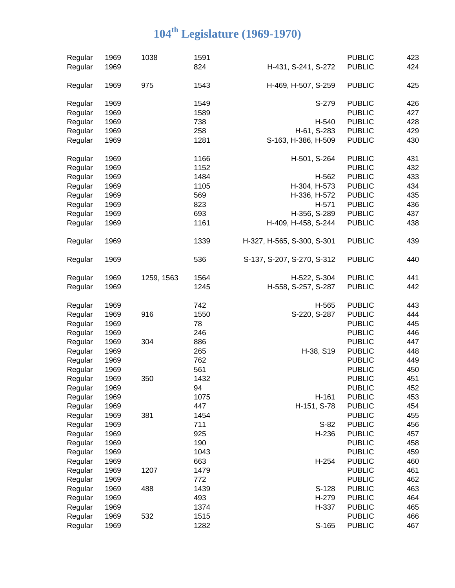| Regular | 1969 | 1038       | 1591 |                            | <b>PUBLIC</b> | 423 |
|---------|------|------------|------|----------------------------|---------------|-----|
| Regular | 1969 |            | 824  | H-431, S-241, S-272        | <b>PUBLIC</b> | 424 |
| Regular | 1969 | 975        | 1543 | H-469, H-507, S-259        | <b>PUBLIC</b> | 425 |
|         | 1969 |            | 1549 | S-279                      | <b>PUBLIC</b> | 426 |
| Regular |      |            | 1589 |                            | <b>PUBLIC</b> | 427 |
| Regular | 1969 |            |      |                            |               |     |
| Regular | 1969 |            | 738  | H-540                      | <b>PUBLIC</b> | 428 |
| Regular | 1969 |            | 258  | H-61, S-283                | <b>PUBLIC</b> | 429 |
| Regular | 1969 |            | 1281 | S-163, H-386, H-509        | <b>PUBLIC</b> | 430 |
| Regular | 1969 |            | 1166 | H-501, S-264               | <b>PUBLIC</b> | 431 |
| Regular | 1969 |            | 1152 |                            | <b>PUBLIC</b> | 432 |
| Regular | 1969 |            | 1484 | H-562                      | <b>PUBLIC</b> | 433 |
| Regular | 1969 |            | 1105 | H-304, H-573               | <b>PUBLIC</b> | 434 |
| Regular | 1969 |            | 569  | H-336, H-572               | <b>PUBLIC</b> | 435 |
| Regular | 1969 |            | 823  | H-571                      | <b>PUBLIC</b> | 436 |
| Regular | 1969 |            | 693  | H-356, S-289               | <b>PUBLIC</b> | 437 |
| Regular | 1969 |            | 1161 | H-409, H-458, S-244        | <b>PUBLIC</b> | 438 |
| Regular | 1969 |            | 1339 | H-327, H-565, S-300, S-301 | <b>PUBLIC</b> | 439 |
|         | 1969 |            | 536  |                            | <b>PUBLIC</b> | 440 |
| Regular |      |            |      | S-137, S-207, S-270, S-312 |               |     |
| Regular | 1969 | 1259, 1563 | 1564 | H-522, S-304               | <b>PUBLIC</b> | 441 |
| Regular | 1969 |            | 1245 | H-558, S-257, S-287        | <b>PUBLIC</b> | 442 |
| Regular | 1969 |            | 742  | H-565                      | <b>PUBLIC</b> | 443 |
| Regular | 1969 | 916        | 1550 | S-220, S-287               | <b>PUBLIC</b> | 444 |
| Regular | 1969 |            | 78   |                            | <b>PUBLIC</b> | 445 |
| Regular | 1969 |            | 246  |                            | <b>PUBLIC</b> | 446 |
| Regular | 1969 | 304        | 886  |                            | <b>PUBLIC</b> | 447 |
| Regular | 1969 |            | 265  | H-38, S19                  | <b>PUBLIC</b> | 448 |
| Regular | 1969 |            | 762  |                            | <b>PUBLIC</b> | 449 |
| Regular | 1969 |            | 561  |                            | <b>PUBLIC</b> | 450 |
| Regular | 1969 | 350        | 1432 |                            | <b>PUBLIC</b> | 451 |
| Regular | 1969 |            | 94   |                            | <b>PUBLIC</b> | 452 |
| Regular | 1969 |            | 1075 | H-161                      | <b>PUBLIC</b> | 453 |
|         | 1969 |            | 447  | H-151, S-78                | <b>PUBLIC</b> | 454 |
| Regular | 1969 | 381        | 1454 |                            | <b>PUBLIC</b> | 455 |
| Regular |      |            |      |                            |               |     |
| Regular | 1969 |            | 711  | $S-82$                     | <b>PUBLIC</b> | 456 |
| Regular | 1969 |            | 925  | H-236                      | <b>PUBLIC</b> | 457 |
| Regular | 1969 |            | 190  |                            | <b>PUBLIC</b> | 458 |
| Regular | 1969 |            | 1043 |                            | <b>PUBLIC</b> | 459 |
| Regular | 1969 |            | 663  | H-254                      | <b>PUBLIC</b> | 460 |
| Regular | 1969 | 1207       | 1479 |                            | <b>PUBLIC</b> | 461 |
| Regular | 1969 |            | 772  |                            | <b>PUBLIC</b> | 462 |
| Regular | 1969 | 488        | 1439 | S-128                      | <b>PUBLIC</b> | 463 |
| Regular | 1969 |            | 493  | H-279                      | <b>PUBLIC</b> | 464 |
| Regular | 1969 |            | 1374 | H-337                      | <b>PUBLIC</b> | 465 |
| Regular | 1969 | 532        | 1515 |                            | <b>PUBLIC</b> | 466 |
| Regular | 1969 |            | 1282 | S-165                      | <b>PUBLIC</b> | 467 |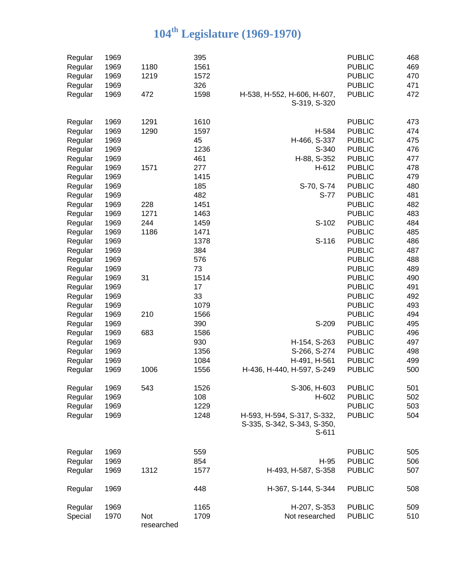| Regular | 1969 |                   | 395  |                                                                     | <b>PUBLIC</b> | 468 |
|---------|------|-------------------|------|---------------------------------------------------------------------|---------------|-----|
| Regular | 1969 | 1180              | 1561 |                                                                     | <b>PUBLIC</b> | 469 |
| Regular | 1969 | 1219              | 1572 |                                                                     | <b>PUBLIC</b> | 470 |
| Regular | 1969 |                   | 326  |                                                                     | <b>PUBLIC</b> | 471 |
| Regular | 1969 | 472               | 1598 | H-538, H-552, H-606, H-607,                                         | <b>PUBLIC</b> | 472 |
|         |      |                   |      | S-319, S-320                                                        |               |     |
| Regular | 1969 | 1291              | 1610 |                                                                     | <b>PUBLIC</b> | 473 |
| Regular | 1969 | 1290              | 1597 | H-584                                                               | <b>PUBLIC</b> | 474 |
| Regular | 1969 |                   | 45   | H-466, S-337                                                        | <b>PUBLIC</b> | 475 |
| Regular | 1969 |                   | 1236 | S-340                                                               | <b>PUBLIC</b> | 476 |
| Regular | 1969 |                   | 461  | H-88, S-352                                                         | <b>PUBLIC</b> | 477 |
| Regular | 1969 | 1571              | 277  | H-612                                                               | <b>PUBLIC</b> | 478 |
| Regular | 1969 |                   | 1415 |                                                                     | <b>PUBLIC</b> | 479 |
| Regular | 1969 |                   | 185  | S-70, S-74                                                          | <b>PUBLIC</b> | 480 |
| Regular | 1969 |                   | 482  | S-77                                                                | <b>PUBLIC</b> | 481 |
| Regular | 1969 | 228               | 1451 |                                                                     | <b>PUBLIC</b> | 482 |
| Regular | 1969 | 1271              | 1463 |                                                                     | <b>PUBLIC</b> | 483 |
| Regular | 1969 | 244               | 1459 | S-102                                                               | <b>PUBLIC</b> | 484 |
| Regular | 1969 | 1186              | 1471 |                                                                     | <b>PUBLIC</b> | 485 |
| Regular | 1969 |                   | 1378 | S-116                                                               | <b>PUBLIC</b> | 486 |
| Regular | 1969 |                   | 384  |                                                                     | <b>PUBLIC</b> | 487 |
| Regular | 1969 |                   | 576  |                                                                     | <b>PUBLIC</b> | 488 |
| Regular | 1969 |                   | 73   |                                                                     | <b>PUBLIC</b> | 489 |
| Regular | 1969 | 31                | 1514 |                                                                     | <b>PUBLIC</b> | 490 |
| Regular | 1969 |                   | 17   |                                                                     | <b>PUBLIC</b> | 491 |
| Regular | 1969 |                   | 33   |                                                                     | <b>PUBLIC</b> | 492 |
| Regular | 1969 |                   | 1079 |                                                                     | <b>PUBLIC</b> | 493 |
| Regular | 1969 | 210               | 1566 |                                                                     | <b>PUBLIC</b> | 494 |
| Regular | 1969 |                   | 390  | S-209                                                               | <b>PUBLIC</b> | 495 |
| Regular | 1969 | 683               | 1586 |                                                                     | <b>PUBLIC</b> | 496 |
| Regular | 1969 |                   | 930  | H-154, S-263                                                        | <b>PUBLIC</b> | 497 |
| Regular | 1969 |                   | 1356 | S-266, S-274                                                        | <b>PUBLIC</b> | 498 |
| Regular | 1969 |                   | 1084 | H-491, H-561                                                        | <b>PUBLIC</b> | 499 |
| Regular | 1969 | 1006              | 1556 | H-436, H-440, H-597, S-249                                          | <b>PUBLIC</b> | 500 |
|         |      |                   |      |                                                                     |               |     |
| Regular | 1969 | 543               | 1526 | S-306, H-603                                                        | <b>PUBLIC</b> | 501 |
| Regular | 1969 |                   | 108  | H-602                                                               | <b>PUBLIC</b> | 502 |
| Regular | 1969 |                   | 1229 |                                                                     | <b>PUBLIC</b> | 503 |
| Regular | 1969 |                   | 1248 | H-593, H-594, S-317, S-332,<br>S-335, S-342, S-343, S-350,<br>S-611 | <b>PUBLIC</b> | 504 |
| Regular | 1969 |                   | 559  |                                                                     | <b>PUBLIC</b> | 505 |
| Regular | 1969 |                   | 854  | $H-95$                                                              | <b>PUBLIC</b> | 506 |
| Regular | 1969 | 1312              | 1577 | H-493, H-587, S-358                                                 | <b>PUBLIC</b> | 507 |
| Regular | 1969 |                   | 448  | H-367, S-144, S-344                                                 | <b>PUBLIC</b> | 508 |
| Regular | 1969 |                   | 1165 | H-207, S-353                                                        | <b>PUBLIC</b> | 509 |
| Special | 1970 | Not<br>researched | 1709 | Not researched                                                      | <b>PUBLIC</b> | 510 |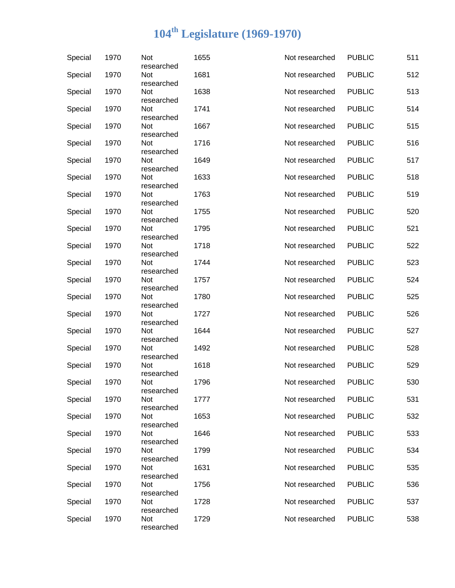| Special | 1970 | Not<br>researched                      | 1655 | Not researched | <b>PUBLIC</b> | 511 |
|---------|------|----------------------------------------|------|----------------|---------------|-----|
| Special | 1970 | Not<br>researched                      | 1681 | Not researched | <b>PUBLIC</b> | 512 |
| Special | 1970 | Not<br>researched                      | 1638 | Not researched | <b>PUBLIC</b> | 513 |
| Special | 1970 | Not<br>researched                      | 1741 | Not researched | <b>PUBLIC</b> | 514 |
| Special | 1970 | Not<br>researched                      | 1667 | Not researched | <b>PUBLIC</b> | 515 |
| Special | 1970 | Not<br>researched                      | 1716 | Not researched | <b>PUBLIC</b> | 516 |
| Special | 1970 | Not<br>researched                      | 1649 | Not researched | <b>PUBLIC</b> | 517 |
| Special | 1970 | Not<br>researched                      | 1633 | Not researched | <b>PUBLIC</b> | 518 |
| Special | 1970 | Not<br>researched                      | 1763 | Not researched | <b>PUBLIC</b> | 519 |
| Special | 1970 | Not<br>researched                      | 1755 | Not researched | <b>PUBLIC</b> | 520 |
| Special | 1970 | Not<br>researched                      | 1795 | Not researched | <b>PUBLIC</b> | 521 |
| Special | 1970 | Not<br>researched                      | 1718 | Not researched | <b>PUBLIC</b> | 522 |
| Special | 1970 | Not<br>researched                      | 1744 | Not researched | <b>PUBLIC</b> | 523 |
| Special | 1970 | Not<br>researched                      | 1757 | Not researched | <b>PUBLIC</b> | 524 |
| Special | 1970 | Not<br>researched                      | 1780 | Not researched | <b>PUBLIC</b> | 525 |
| Special | 1970 | Not<br>researched                      | 1727 | Not researched | <b>PUBLIC</b> | 526 |
| Special | 1970 | Not<br>researched                      | 1644 | Not researched | <b>PUBLIC</b> | 527 |
| Special | 1970 | Not<br>researched                      | 1492 | Not researched | <b>PUBLIC</b> | 528 |
| Special | 1970 | Not                                    | 1618 | Not researched | <b>PUBLIC</b> | 529 |
| Special | 1970 | researched<br><b>Not</b><br>researched | 1796 | Not researched | <b>PUBLIC</b> | 530 |
| Special | 1970 | Not<br>researched                      | 1777 | Not researched | <b>PUBLIC</b> | 531 |
| Special | 1970 | Not<br>researched                      | 1653 | Not researched | <b>PUBLIC</b> | 532 |
| Special | 1970 | Not                                    | 1646 | Not researched | <b>PUBLIC</b> | 533 |
| Special | 1970 | researched<br>Not                      | 1799 | Not researched | <b>PUBLIC</b> | 534 |
| Special | 1970 | researched<br>Not                      | 1631 | Not researched | <b>PUBLIC</b> | 535 |
| Special | 1970 | researched<br>Not                      | 1756 | Not researched | <b>PUBLIC</b> | 536 |
| Special | 1970 | researched<br>Not                      | 1728 | Not researched | <b>PUBLIC</b> | 537 |
| Special | 1970 | researched<br>Not<br>researched        | 1729 | Not researched | <b>PUBLIC</b> | 538 |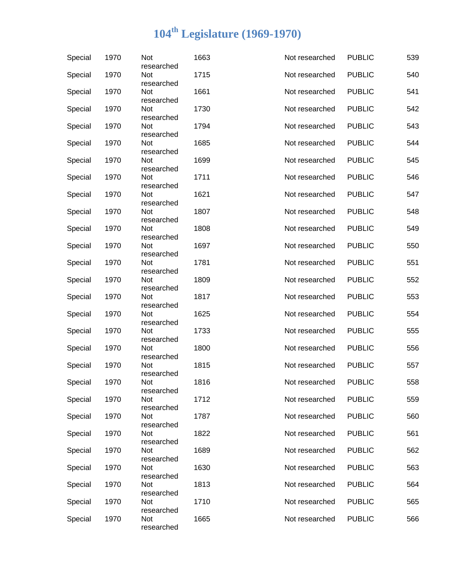| Special | 1970 | Not<br>researched               | 1663 | Not researched | <b>PUBLIC</b> | 539 |
|---------|------|---------------------------------|------|----------------|---------------|-----|
| Special | 1970 | Not<br>researched               | 1715 | Not researched | <b>PUBLIC</b> | 540 |
| Special | 1970 | Not<br>researched               | 1661 | Not researched | <b>PUBLIC</b> | 541 |
| Special | 1970 | <b>Not</b><br>researched        | 1730 | Not researched | <b>PUBLIC</b> | 542 |
| Special | 1970 | Not<br>researched               | 1794 | Not researched | <b>PUBLIC</b> | 543 |
| Special | 1970 | Not<br>researched               | 1685 | Not researched | <b>PUBLIC</b> | 544 |
| Special | 1970 | Not<br>researched               | 1699 | Not researched | <b>PUBLIC</b> | 545 |
| Special | 1970 | Not<br>researched               | 1711 | Not researched | <b>PUBLIC</b> | 546 |
| Special | 1970 | Not<br>researched               | 1621 | Not researched | <b>PUBLIC</b> | 547 |
| Special | 1970 | Not<br>researched               | 1807 | Not researched | <b>PUBLIC</b> | 548 |
| Special | 1970 | Not<br>researched               | 1808 | Not researched | <b>PUBLIC</b> | 549 |
| Special | 1970 | Not<br>researched               | 1697 | Not researched | <b>PUBLIC</b> | 550 |
| Special | 1970 | Not<br>researched               | 1781 | Not researched | <b>PUBLIC</b> | 551 |
| Special | 1970 | Not<br>researched               | 1809 | Not researched | <b>PUBLIC</b> | 552 |
| Special | 1970 | Not<br>researched               | 1817 | Not researched | <b>PUBLIC</b> | 553 |
| Special | 1970 | <b>Not</b><br>researched        | 1625 | Not researched | <b>PUBLIC</b> | 554 |
| Special | 1970 | Not<br>researched               | 1733 | Not researched | <b>PUBLIC</b> | 555 |
| Special | 1970 | Not<br>researched               | 1800 | Not researched | <b>PUBLIC</b> | 556 |
| Special | 1970 | Not<br>researched               | 1815 | Not researched | <b>PUBLIC</b> | 557 |
| Special | 1970 | Not<br>researched               | 1816 | Not researched | <b>PUBLIC</b> | 558 |
| Special | 1970 | Not<br>researched               | 1712 | Not researched | <b>PUBLIC</b> | 559 |
| Special | 1970 | <b>Not</b><br>researched        | 1787 | Not researched | <b>PUBLIC</b> | 560 |
| Special | 1970 | Not<br>researched               | 1822 | Not researched | <b>PUBLIC</b> | 561 |
| Special | 1970 | Not<br>researched               | 1689 | Not researched | <b>PUBLIC</b> | 562 |
| Special | 1970 | Not<br>researched               | 1630 | Not researched | <b>PUBLIC</b> | 563 |
| Special | 1970 | Not                             | 1813 | Not researched | <b>PUBLIC</b> | 564 |
| Special | 1970 | researched<br>Not               | 1710 | Not researched | <b>PUBLIC</b> | 565 |
| Special | 1970 | researched<br>Not<br>researched | 1665 | Not researched | <b>PUBLIC</b> | 566 |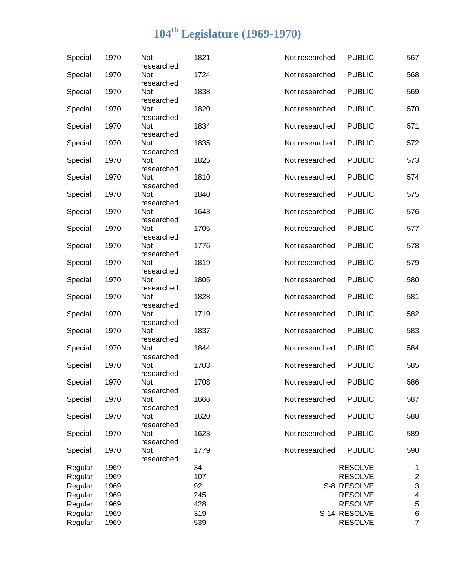| Special | 1970 | Not<br>researched               | 1821 | Not researched | <b>PUBLIC</b>  | 567                      |
|---------|------|---------------------------------|------|----------------|----------------|--------------------------|
| Special | 1970 | Not<br>researched               | 1724 | Not researched | <b>PUBLIC</b>  | 568                      |
| Special | 1970 | Not<br>researched               | 1838 | Not researched | <b>PUBLIC</b>  | 569                      |
| Special | 1970 | Not<br>researched               | 1820 | Not researched | <b>PUBLIC</b>  | 570                      |
| Special | 1970 | Not<br>researched               | 1834 | Not researched | <b>PUBLIC</b>  | 571                      |
| Special | 1970 | Not<br>researched               | 1835 | Not researched | <b>PUBLIC</b>  | 572                      |
| Special | 1970 | Not<br>researched               | 1825 | Not researched | <b>PUBLIC</b>  | 573                      |
| Special | 1970 | Not<br>researched               | 1810 | Not researched | <b>PUBLIC</b>  | 574                      |
| Special | 1970 | Not<br>researched               | 1840 | Not researched | <b>PUBLIC</b>  | 575                      |
| Special | 1970 | Not<br>researched               | 1643 | Not researched | <b>PUBLIC</b>  | 576                      |
| Special | 1970 | Not<br>researched               | 1705 | Not researched | <b>PUBLIC</b>  | 577                      |
| Special | 1970 | Not<br>researched               | 1776 | Not researched | <b>PUBLIC</b>  | 578                      |
| Special | 1970 | Not<br>researched               | 1819 | Not researched | <b>PUBLIC</b>  | 579                      |
| Special | 1970 | Not<br>researched               | 1805 | Not researched | <b>PUBLIC</b>  | 580                      |
| Special | 1970 | Not<br>researched               | 1828 | Not researched | <b>PUBLIC</b>  | 581                      |
| Special | 1970 | Not<br>researched               | 1719 | Not researched | <b>PUBLIC</b>  | 582                      |
| Special | 1970 | Not<br>researched               | 1837 | Not researched | <b>PUBLIC</b>  | 583                      |
| Special | 1970 | Not<br>researched               | 1844 | Not researched | <b>PUBLIC</b>  | 584                      |
| Special | 1970 | Not<br>researched               | 1703 | Not researched | <b>PUBLIC</b>  | 585                      |
| Special | 1970 | Not                             | 1708 | Not researched | <b>PUBLIC</b>  | 586                      |
| Special | 1970 | researched<br>Not<br>researched | 1666 | Not researched | <b>PUBLIC</b>  | 587                      |
| Special | 1970 | Not<br>researched               | 1620 | Not researched | <b>PUBLIC</b>  | 588                      |
| Special | 1970 | Not<br>researched               | 1623 | Not researched | <b>PUBLIC</b>  | 589                      |
| Special | 1970 | Not<br>researched               | 1779 | Not researched | <b>PUBLIC</b>  | 590                      |
| Regular | 1969 |                                 | 34   |                | <b>RESOLVE</b> | 1                        |
|         |      |                                 |      |                |                |                          |
| Regular | 1969 |                                 | 107  |                | <b>RESOLVE</b> | $\boldsymbol{2}$         |
| Regular | 1969 |                                 | 92   |                | S-8 RESOLVE    | 3                        |
| Regular | 1969 |                                 | 245  |                | <b>RESOLVE</b> | $\overline{\mathcal{A}}$ |
| Regular | 1969 |                                 | 428  |                | <b>RESOLVE</b> | 5                        |
| Regular | 1969 |                                 | 319  |                | S-14 RESOLVE   | 6                        |
| Regular | 1969 |                                 | 539  |                | <b>RESOLVE</b> | $\overline{7}$           |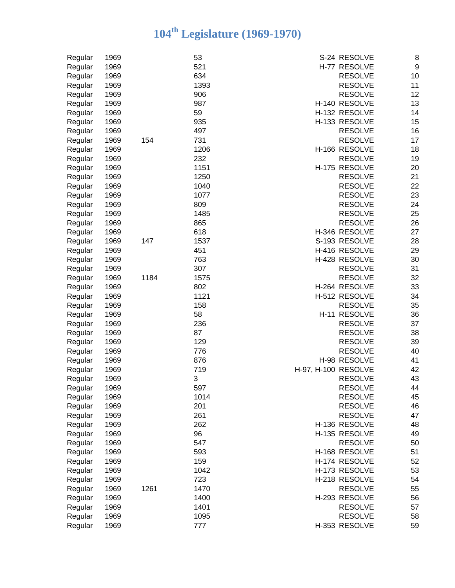| Regular            | 1969 |      | 53   | S-24 RESOLVE<br>8                |
|--------------------|------|------|------|----------------------------------|
| Regular            | 1969 |      | 521  | $\boldsymbol{9}$<br>H-77 RESOLVE |
| Regular            | 1969 |      | 634  | 10<br><b>RESOLVE</b>             |
| Regular            | 1969 |      | 1393 | 11<br><b>RESOLVE</b>             |
| Regular            | 1969 |      | 906  | 12<br><b>RESOLVE</b>             |
| Regular            | 1969 |      | 987  | 13<br>H-140 RESOLVE              |
| Regular            | 1969 |      | 59   | H-132 RESOLVE<br>14              |
| Regular            | 1969 |      | 935  | 15<br>H-133 RESOLVE              |
| Regular            | 1969 |      | 497  | 16<br><b>RESOLVE</b>             |
| Regular            | 1969 | 154  | 731  | 17<br><b>RESOLVE</b>             |
| Regular            | 1969 |      | 1206 | 18<br>H-166 RESOLVE              |
| Regular            | 1969 |      | 232  | 19<br><b>RESOLVE</b>             |
| Regular            | 1969 |      | 1151 | H-175 RESOLVE<br>20              |
| Regular            | 1969 |      | 1250 | 21<br><b>RESOLVE</b>             |
| Regular            | 1969 |      | 1040 | 22<br><b>RESOLVE</b>             |
| Regular            | 1969 |      | 1077 | 23<br><b>RESOLVE</b>             |
| Regular            | 1969 |      | 809  | <b>RESOLVE</b><br>24             |
| Regular            | 1969 |      | 1485 | 25<br><b>RESOLVE</b>             |
| Regular            | 1969 |      | 865  | 26<br><b>RESOLVE</b>             |
| Regular            | 1969 |      | 618  | H-346 RESOLVE<br>27              |
| Regular            | 1969 | 147  | 1537 | S-193 RESOLVE<br>28              |
| Regular            | 1969 |      | 451  | H-416 RESOLVE<br>29              |
| Regular            | 1969 |      | 763  | 30<br>H-428 RESOLVE              |
| Regular            | 1969 |      | 307  | <b>RESOLVE</b><br>31             |
| Regular            | 1969 | 1184 | 1575 | 32<br><b>RESOLVE</b>             |
| Regular            | 1969 |      | 802  | 33<br>H-264 RESOLVE              |
| Regular            | 1969 |      | 1121 | 34<br>H-512 RESOLVE              |
| Regular            | 1969 |      | 158  | 35<br><b>RESOLVE</b>             |
| Regular            | 1969 |      | 58   | 36<br>H-11 RESOLVE               |
| Regular            | 1969 |      | 236  | 37<br><b>RESOLVE</b>             |
| Regular            | 1969 |      | 87   | 38<br><b>RESOLVE</b>             |
| Regular            | 1969 |      | 129  | 39<br><b>RESOLVE</b>             |
| Regular            | 1969 |      | 776  | 40<br><b>RESOLVE</b>             |
|                    | 1969 |      | 876  | H-98 RESOLVE<br>41               |
| Regular<br>Regular | 1969 |      | 719  | 42<br>H-97, H-100 RESOLVE        |
| Regular            | 1969 |      | 3    | 43<br><b>RESOLVE</b>             |
| Regular            | 1969 |      | 597  | <b>RESOLVE</b><br>44             |
| Regular            | 1969 |      | 1014 | <b>RESOLVE</b><br>45             |
| Regular            | 1969 |      | 201  | 46<br><b>RESOLVE</b>             |
| Regular            | 1969 |      | 261  | 47<br><b>RESOLVE</b>             |
|                    | 1969 |      | 262  | H-136 RESOLVE<br>48              |
| Regular            | 1969 |      | 96   | 49<br>H-135 RESOLVE              |
| Regular            |      |      | 547  | <b>RESOLVE</b>                   |
| Regular            | 1969 |      |      | 50                               |
| Regular            | 1969 |      | 593  | 51<br>H-168 RESOLVE              |
| Regular            | 1969 |      | 159  | 52<br>H-174 RESOLVE              |
| Regular            | 1969 |      | 1042 | H-173 RESOLVE<br>53              |
| Regular            | 1969 |      | 723  | 54<br>H-218 RESOLVE              |
| Regular            | 1969 | 1261 | 1470 | 55<br><b>RESOLVE</b>             |
| Regular            | 1969 |      | 1400 | 56<br>H-293 RESOLVE              |
| Regular            | 1969 |      | 1401 | <b>RESOLVE</b><br>57             |
| Regular            | 1969 |      | 1095 | <b>RESOLVE</b><br>58             |
| Regular            | 1969 |      | 777  | 59<br>H-353 RESOLVE              |